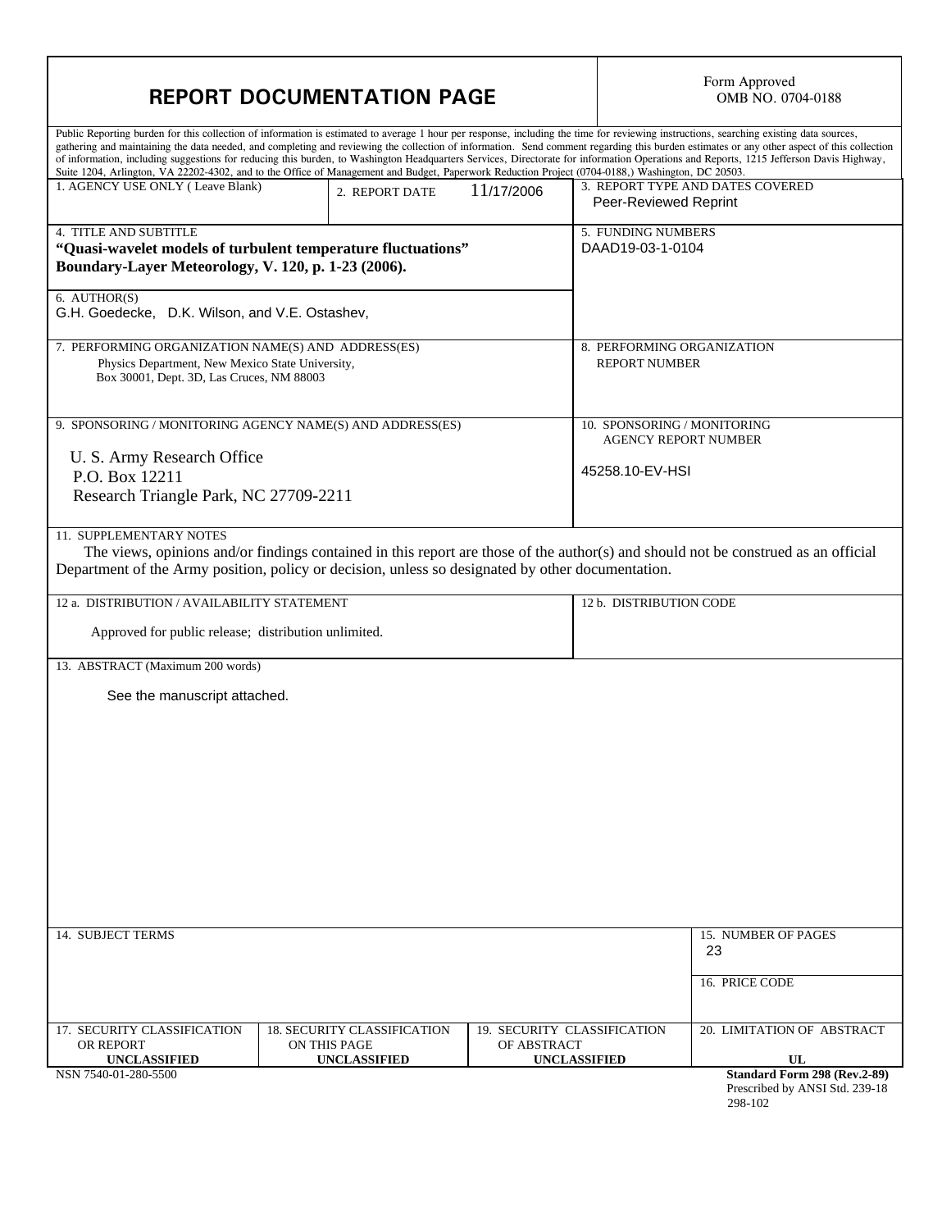| <b>REPORT DOCUMENTATION PAGE</b>                                                                                                                    |                                                                                                                                                  |                                                                   | Form Approved<br>OMB NO. 0704-0188                                                                                                                                                                                                                                                                                                                                                                                                                                                                                                                                              |  |
|-----------------------------------------------------------------------------------------------------------------------------------------------------|--------------------------------------------------------------------------------------------------------------------------------------------------|-------------------------------------------------------------------|---------------------------------------------------------------------------------------------------------------------------------------------------------------------------------------------------------------------------------------------------------------------------------------------------------------------------------------------------------------------------------------------------------------------------------------------------------------------------------------------------------------------------------------------------------------------------------|--|
|                                                                                                                                                     | Suite 1204, Arlington, VA 22202-4302, and to the Office of Management and Budget, Paperwork Reduction Project (0704-0188,) Washington, DC 20503. |                                                                   | Public Reporting burden for this collection of information is estimated to average 1 hour per response, including the time for reviewing instructions, searching existing data sources,<br>gathering and maintaining the data needed, and completing and reviewing the collection of information. Send comment regarding this burden estimates or any other aspect of this collection<br>of information, including suggestions for reducing this burden, to Washington Headquarters Services, Directorate for information Operations and Reports, 1215 Jefferson Davis Highway, |  |
| 1. AGENCY USE ONLY (Leave Blank)                                                                                                                    | 2. REPORT DATE                                                                                                                                   | 11/17/2006                                                        | 3. REPORT TYPE AND DATES COVERED<br>Peer-Reviewed Reprint                                                                                                                                                                                                                                                                                                                                                                                                                                                                                                                       |  |
| <b>4. TITLE AND SUBTITLE</b><br>"Quasi-wavelet models of turbulent temperature fluctuations"<br>Boundary-Layer Meteorology, V. 120, p. 1-23 (2006). |                                                                                                                                                  |                                                                   | 5. FUNDING NUMBERS<br>DAAD19-03-1-0104                                                                                                                                                                                                                                                                                                                                                                                                                                                                                                                                          |  |
| 6. AUTHOR(S)<br>G.H. Goedecke, D.K. Wilson, and V.E. Ostashev,                                                                                      |                                                                                                                                                  |                                                                   |                                                                                                                                                                                                                                                                                                                                                                                                                                                                                                                                                                                 |  |
| 7. PERFORMING ORGANIZATION NAME(S) AND ADDRESS(ES)<br>Physics Department, New Mexico State University,<br>Box 30001, Dept. 3D, Las Cruces, NM 88003 |                                                                                                                                                  |                                                                   | 8. PERFORMING ORGANIZATION<br><b>REPORT NUMBER</b>                                                                                                                                                                                                                                                                                                                                                                                                                                                                                                                              |  |
| 9. SPONSORING / MONITORING AGENCY NAME(S) AND ADDRESS(ES)                                                                                           |                                                                                                                                                  |                                                                   | 10. SPONSORING / MONITORING<br><b>AGENCY REPORT NUMBER</b>                                                                                                                                                                                                                                                                                                                                                                                                                                                                                                                      |  |
| U. S. Army Research Office<br>P.O. Box 12211<br>Research Triangle Park, NC 27709-2211                                                               |                                                                                                                                                  |                                                                   | 45258.10-EV-HSI                                                                                                                                                                                                                                                                                                                                                                                                                                                                                                                                                                 |  |
| 11. SUPPLEMENTARY NOTES                                                                                                                             | Department of the Army position, policy or decision, unless so designated by other documentation.                                                |                                                                   | The views, opinions and/or findings contained in this report are those of the author(s) and should not be construed as an official                                                                                                                                                                                                                                                                                                                                                                                                                                              |  |
| 12 a. DISTRIBUTION / AVAILABILITY STATEMENT<br>Approved for public release; distribution unlimited.                                                 |                                                                                                                                                  |                                                                   | 12 b. DISTRIBUTION CODE                                                                                                                                                                                                                                                                                                                                                                                                                                                                                                                                                         |  |
| 13. ABSTRACT (Maximum 200 words)                                                                                                                    |                                                                                                                                                  |                                                                   |                                                                                                                                                                                                                                                                                                                                                                                                                                                                                                                                                                                 |  |
| See the manuscript attached.                                                                                                                        |                                                                                                                                                  |                                                                   |                                                                                                                                                                                                                                                                                                                                                                                                                                                                                                                                                                                 |  |
| 14. SUBJECT TERMS                                                                                                                                   |                                                                                                                                                  |                                                                   | 15. NUMBER OF PAGES<br>23                                                                                                                                                                                                                                                                                                                                                                                                                                                                                                                                                       |  |
|                                                                                                                                                     |                                                                                                                                                  |                                                                   | 16. PRICE CODE                                                                                                                                                                                                                                                                                                                                                                                                                                                                                                                                                                  |  |
| 17. SECURITY CLASSIFICATION<br>OR REPORT<br><b>UNCLASSIFIED</b><br>NSN 7540-01-280-5500                                                             | <b>18. SECURITY CLASSIFICATION</b><br>ON THIS PAGE<br><b>UNCLASSIFIED</b>                                                                        | 19. SECURITY CLASSIFICATION<br>OF ABSTRACT<br><b>UNCLASSIFIED</b> | 20. LIMITATION OF ABSTRACT<br>UL<br>Standard Form 298 (Rev.2-89)<br>Prescribed by ANSI Std. 239-18<br>298-102                                                                                                                                                                                                                                                                                                                                                                                                                                                                   |  |

 $\overline{\phantom{a}}$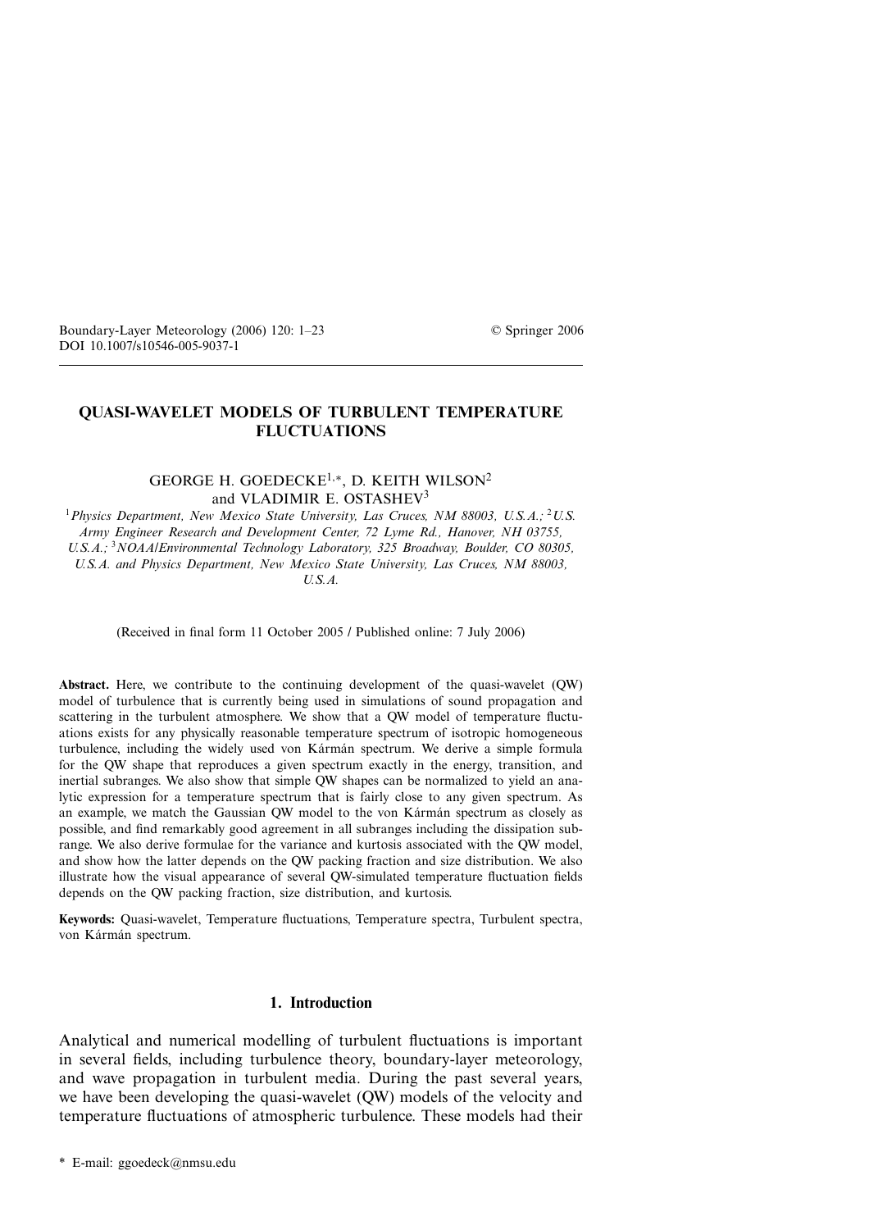# **QUASI-WAVELET MODELS OF TURBULENT TEMPERATURE FLUCTUATIONS**

## GEORGE H. GOEDECKE1*,*∗, D. KEITH WILSON<sup>2</sup> and VLADIMIR E. OSTASHEV<sup>3</sup>

<sup>1</sup>*Physics Department, New Mexico State University, Las Cruces, NM 88003, U.S.A.;* <sup>2</sup>*U.S. Army Engineer Research and Development Center, 72 Lyme Rd., Hanover, NH 03755, U.S.A.;* <sup>3</sup>*NOAA/Environmental Technology Laboratory, 325 Broadway, Boulder, CO 80305, U.S.A. and Physics Department, New Mexico State University, Las Cruces, NM 88003, U.S.A.*

(Received in final form 11 October 2005 / Published online: 7 July 2006)

**Abstract.** Here, we contribute to the continuing development of the quasi-wavelet (QW) model of turbulence that is currently being used in simulations of sound propagation and scattering in the turbulent atmosphere. We show that a QW model of temperature fluctuations exists for any physically reasonable temperature spectrum of isotropic homogeneous turbulence, including the widely used von Kármán spectrum. We derive a simple formula for the QW shape that reproduces a given spectrum exactly in the energy, transition, and inertial subranges. We also show that simple QW shapes can be normalized to yield an analytic expression for a temperature spectrum that is fairly close to any given spectrum. As an example, we match the Gaussian QW model to the von Kármán spectrum as closely as possible, and find remarkably good agreement in all subranges including the dissipation subrange. We also derive formulae for the variance and kurtosis associated with the QW model, and show how the latter depends on the QW packing fraction and size distribution. We also illustrate how the visual appearance of several QW-simulated temperature fluctuation fields depends on the QW packing fraction, size distribution, and kurtosis.

**Keywords:** Quasi-wavelet, Temperature fluctuations, Temperature spectra, Turbulent spectra, von Kármán spectrum.

### **1. Introduction**

Analytical and numerical modelling of turbulent fluctuations is important in several fields, including turbulence theory, boundary-layer meteorology, and wave propagation in turbulent media. During the past several years, we have been developing the quasi-wavelet (QW) models of the velocity and temperature fluctuations of atmospheric turbulence. These models had their

<sup>\*</sup> E-mail: ggoedeck@nmsu.edu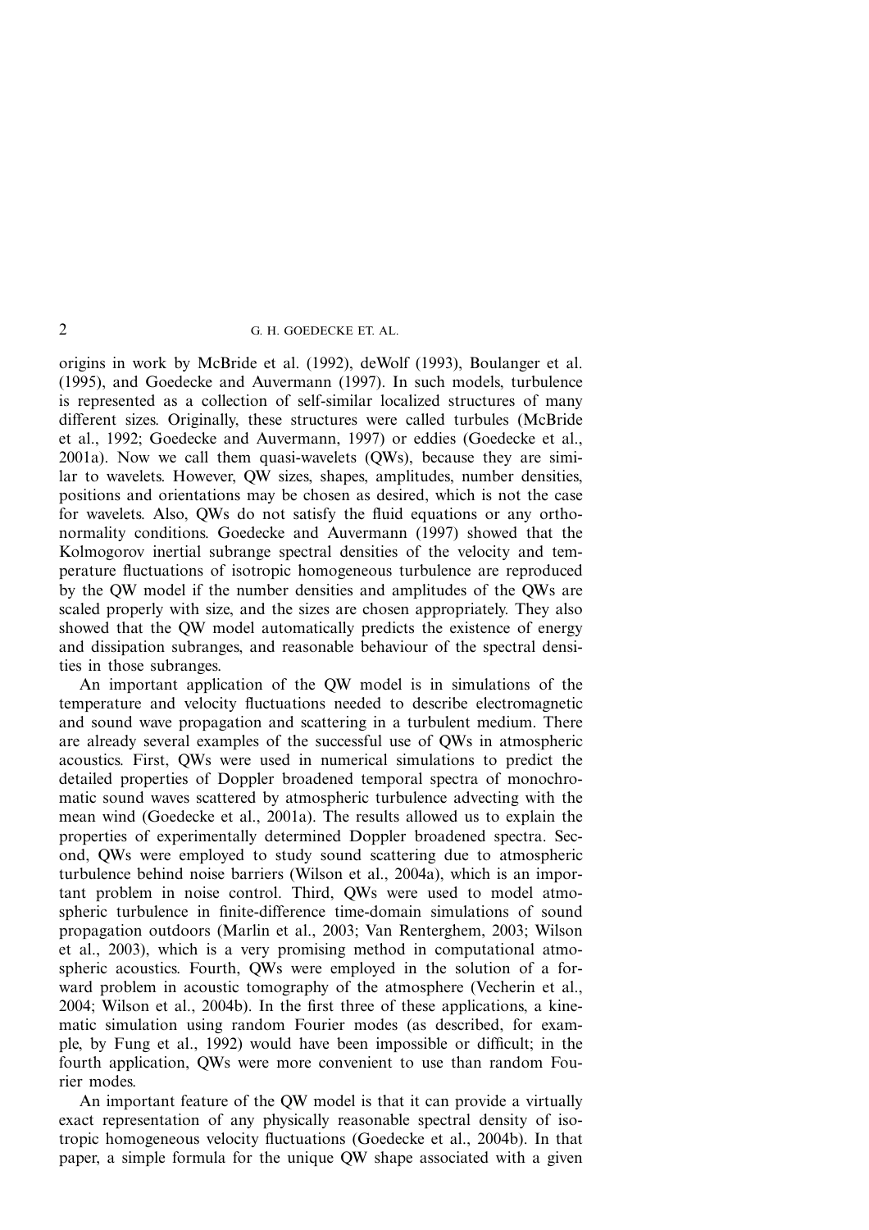origins in work by McBride et al. (1992), deWolf (1993), Boulanger et al. (1995), and Goedecke and Auvermann (1997). In such models, turbulence is represented as a collection of self-similar localized structures of many different sizes. Originally, these structures were called turbules (McBride et al., 1992; Goedecke and Auvermann, 1997) or eddies (Goedecke et al., 2001a). Now we call them quasi-wavelets (QWs), because they are similar to wavelets. However, QW sizes, shapes, amplitudes, number densities, positions and orientations may be chosen as desired, which is not the case for wavelets. Also, QWs do not satisfy the fluid equations or any orthonormality conditions. Goedecke and Auvermann (1997) showed that the Kolmogorov inertial subrange spectral densities of the velocity and temperature fluctuations of isotropic homogeneous turbulence are reproduced by the QW model if the number densities and amplitudes of the QWs are scaled properly with size, and the sizes are chosen appropriately. They also showed that the QW model automatically predicts the existence of energy and dissipation subranges, and reasonable behaviour of the spectral densities in those subranges.

An important application of the QW model is in simulations of the temperature and velocity fluctuations needed to describe electromagnetic and sound wave propagation and scattering in a turbulent medium. There are already several examples of the successful use of QWs in atmospheric acoustics. First, QWs were used in numerical simulations to predict the detailed properties of Doppler broadened temporal spectra of monochromatic sound waves scattered by atmospheric turbulence advecting with the mean wind (Goedecke et al., 2001a). The results allowed us to explain the properties of experimentally determined Doppler broadened spectra. Second, QWs were employed to study sound scattering due to atmospheric turbulence behind noise barriers (Wilson et al., 2004a), which is an important problem in noise control. Third, QWs were used to model atmospheric turbulence in finite-difference time-domain simulations of sound propagation outdoors (Marlin et al., 2003; Van Renterghem, 2003; Wilson et al., 2003), which is a very promising method in computational atmospheric acoustics. Fourth, QWs were employed in the solution of a forward problem in acoustic tomography of the atmosphere (Vecherin et al., 2004; Wilson et al., 2004b). In the first three of these applications, a kinematic simulation using random Fourier modes (as described, for example, by Fung et al., 1992) would have been impossible or difficult; in the fourth application, QWs were more convenient to use than random Fourier modes.

An important feature of the QW model is that it can provide a virtually exact representation of any physically reasonable spectral density of isotropic homogeneous velocity fluctuations (Goedecke et al., 2004b). In that paper, a simple formula for the unique QW shape associated with a given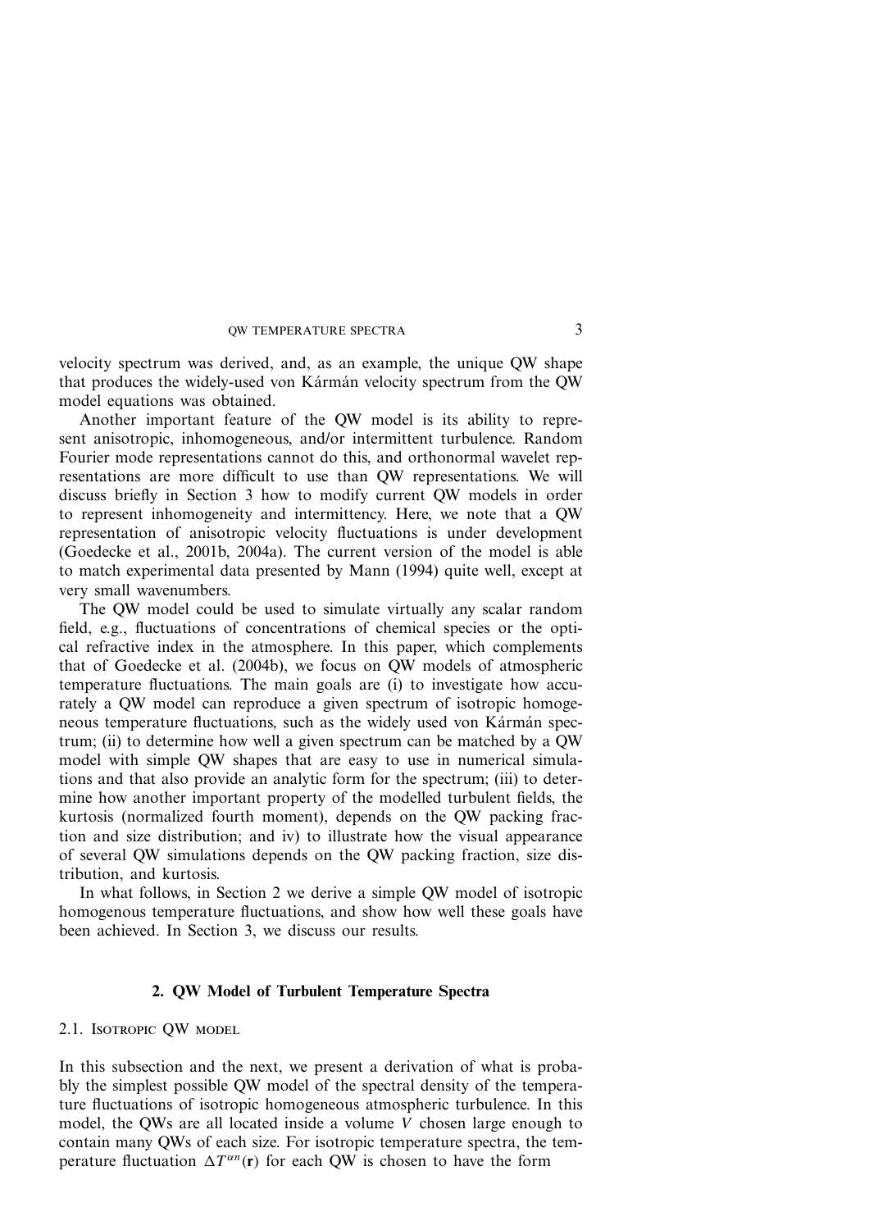velocity spectrum was derived, and, as an example, the unique QW shape that produces the widely-used von Kármán velocity spectrum from the QW model equations was obtained.

Another important feature of the QW model is its ability to represent anisotropic, inhomogeneous, and/or intermittent turbulence. Random Fourier mode representations cannot do this, and orthonormal wavelet representations are more difficult to use than QW representations. We will discuss briefly in Section 3 how to modify current QW models in order to represent inhomogeneity and intermittency. Here, we note that a QW representation of anisotropic velocity fluctuations is under development (Goedecke et al., 2001b, 2004a). The current version of the model is able to match experimental data presented by Mann (1994) quite well, except at very small wavenumbers.

The QW model could be used to simulate virtually any scalar random field, e.g., fluctuations of concentrations of chemical species or the optical refractive index in the atmosphere. In this paper, which complements that of Goedecke et al. (2004b), we focus on QW models of atmospheric temperature fluctuations. The main goals are (i) to investigate how accurately a QW model can reproduce a given spectrum of isotropic homogeneous temperature fluctuations, such as the widely used von Kármán spectrum; (ii) to determine how well a given spectrum can be matched by a QW model with simple QW shapes that are easy to use in numerical simulations and that also provide an analytic form for the spectrum; (iii) to determine how another important property of the modelled turbulent fields, the kurtosis (normalized fourth moment), depends on the QW packing fraction and size distribution; and iv) to illustrate how the visual appearance of several QW simulations depends on the QW packing fraction, size distribution, and kurtosis.

In what follows, in Section 2 we derive a simple QW model of isotropic homogenous temperature fluctuations, and show how well these goals have been achieved. In Section 3, we discuss our results.

### **2. QW Model of Turbulent Temperature Spectra**

2.1. Isotropic QW model

In this subsection and the next, we present a derivation of what is probably the simplest possible QW model of the spectral density of the temperature fluctuations of isotropic homogeneous atmospheric turbulence. In this model, the QWs are all located inside a volume *V* chosen large enough to contain many QWs of each size. For isotropic temperature spectra, the temperature fluctuation  $\Delta T^{\alpha n}(\mathbf{r})$  for each OW is chosen to have the form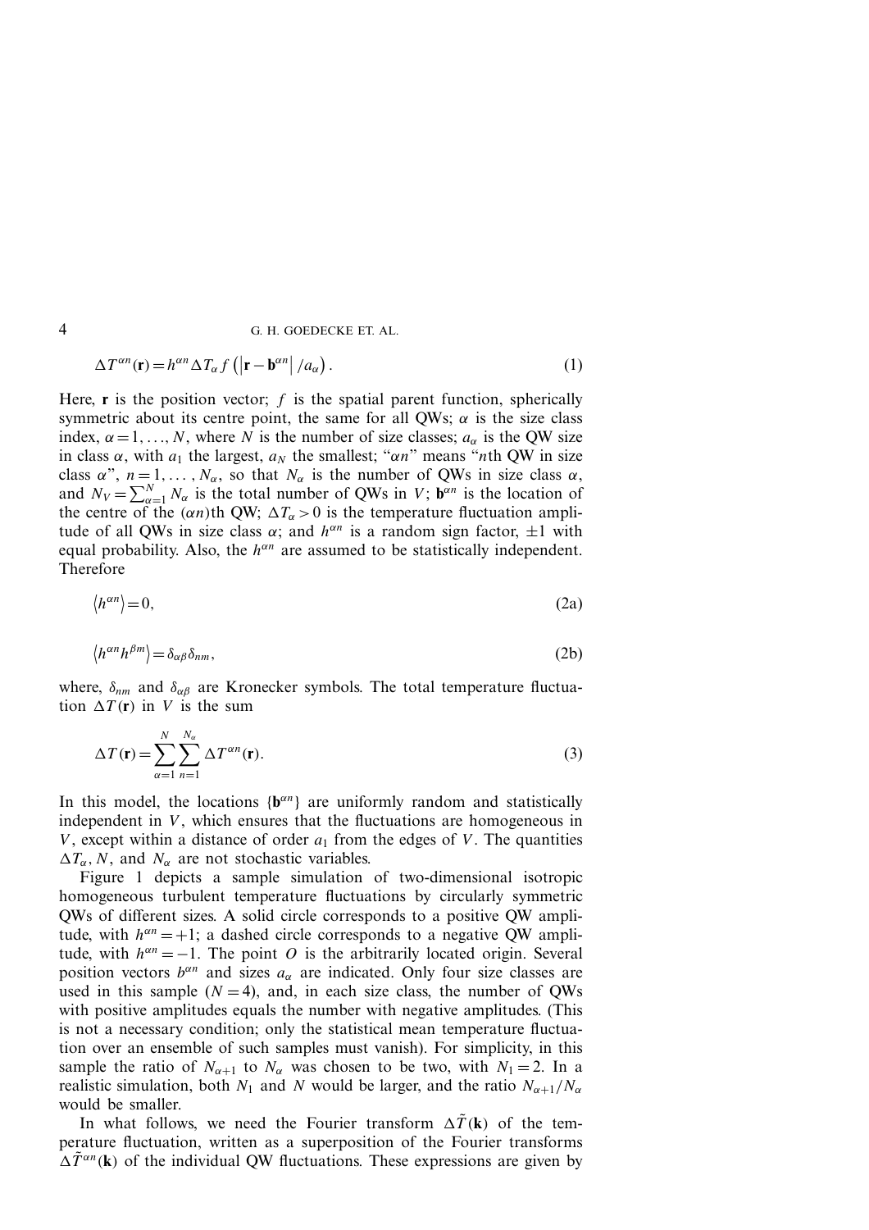$$
\Delta T^{\alpha n}(\mathbf{r}) = h^{\alpha n} \Delta T_{\alpha} f\left( \left| \mathbf{r} - \mathbf{b}^{\alpha n} \right| / a_{\alpha} \right). \tag{1}
$$

Here,  $\bf{r}$  is the position vector;  $\bf{f}$  is the spatial parent function, spherically symmetric about its centre point, the same for all QWs;  $\alpha$  is the size class index,  $\alpha = 1, \ldots, N$ , where *N* is the number of size classes;  $a_{\alpha}$  is the QW size in class  $\alpha$ , with  $a_1$  the largest,  $a_N$  the smallest; " $\alpha n$ " means "*n*th QW in size class  $\alpha$ ",  $n = 1, \ldots, N_{\alpha}$ , so that  $N_{\alpha}$  is the number of QWs in size class  $\alpha$ , and  $N_V = \sum_{\alpha=1}^{N} N_{\alpha}$  is the total number of QWs in *V*;  $\mathbf{b}^{\alpha n}$  is the location of the centre of the  $(\alpha n)$ th QW;  $\Delta T_{\alpha} > 0$  is the temperature fluctuation amplitude of all QWs in size class  $\alpha$ ; and  $h^{\alpha n}$  is a random sign factor,  $\pm 1$  with equal probability. Also, the  $h^{\alpha n}$  are assumed to be statistically independent. Therefore

$$
\langle h^{\alpha n} \rangle = 0,\tag{2a}
$$

$$
\langle h^{\alpha n} h^{\beta m} \rangle = \delta_{\alpha \beta} \delta_{nm},\tag{2b}
$$

where,  $\delta_{nm}$  and  $\delta_{\alpha\beta}$  are Kronecker symbols. The total temperature fluctuation  $\Delta T(\mathbf{r})$  in *V* is the sum

$$
\Delta T(\mathbf{r}) = \sum_{\alpha=1}^{N} \sum_{n=1}^{N_{\alpha}} \Delta T^{\alpha n}(\mathbf{r}).
$$
\n(3)

In this model, the locations  $\{b^{\alpha n}\}\$  are uniformly random and statistically independent in *V*, which ensures that the fluctuations are homogeneous in *V*, except within a distance of order  $a_1$  from the edges of *V*. The quantities  $\Delta T_{\alpha}$ , *N*, and *N<sub>α</sub>* are not stochastic variables.

Figure 1 depicts a sample simulation of two-dimensional isotropic homogeneous turbulent temperature fluctuations by circularly symmetric QWs of different sizes. A solid circle corresponds to a positive QW amplitude, with  $h^{\alpha n} = +1$ ; a dashed circle corresponds to a negative QW amplitude, with  $h^{\alpha n} = -1$ . The point *O* is the arbitrarily located origin. Several position vectors  $b^{\alpha n}$  and sizes  $a_{\alpha}$  are indicated. Only four size classes are used in this sample  $(N = 4)$ , and, in each size class, the number of QWs with positive amplitudes equals the number with negative amplitudes. (This is not a necessary condition; only the statistical mean temperature fluctuation over an ensemble of such samples must vanish). For simplicity, in this sample the ratio of  $N_{\alpha+1}$  to  $N_{\alpha}$  was chosen to be two, with  $N_1 = 2$ . In a realistic simulation, both  $N_1$  and  $N$  would be larger, and the ratio  $N_{\alpha+1}/N_{\alpha}$ would be smaller.

In what follows, we need the Fourier transform  $\Delta T(\mathbf{k})$  of the temperature fluctuation, written as a superposition of the Fourier transforms  $\Delta \tilde{T}^{\alpha n}(\mathbf{k})$  of the individual QW fluctuations. These expressions are given by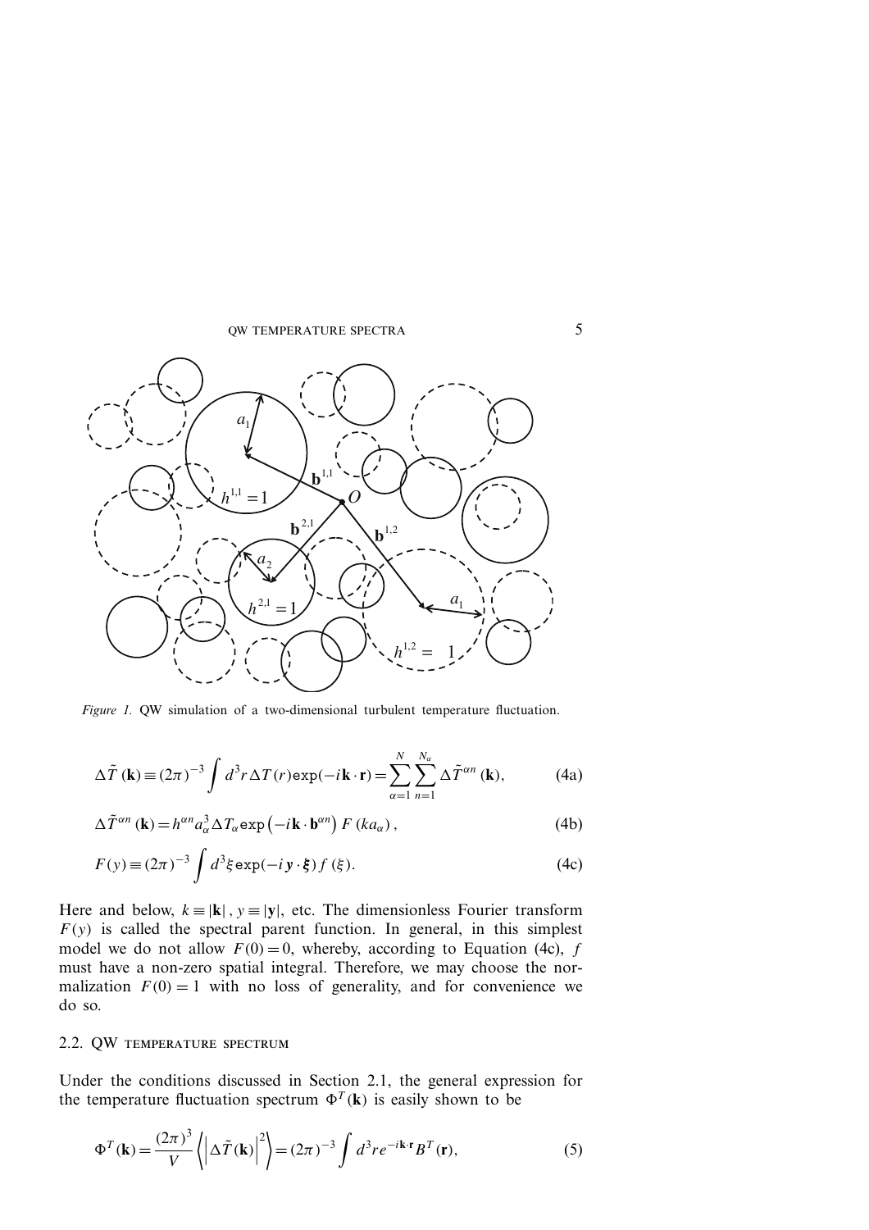

*Figure 1.* OW simulation of a two-dimensional turbulent temperature fluctuation.

$$
\Delta \tilde{T}(\mathbf{k}) \equiv (2\pi)^{-3} \int d^3 r \,\Delta T(r) \exp(-i\mathbf{k} \cdot \mathbf{r}) = \sum_{\alpha=1}^{N} \sum_{n=1}^{N_{\alpha}} \Delta \tilde{T}^{\alpha n}(\mathbf{k}),\tag{4a}
$$

$$
\Delta \tilde{T}^{\alpha n}(\mathbf{k}) = h^{\alpha n} a_{\alpha}^{3} \Delta T_{\alpha} \exp(-i\mathbf{k} \cdot \mathbf{b}^{\alpha n}) F(k a_{\alpha}), \qquad (4b)
$$

$$
F(y) \equiv (2\pi)^{-3} \int d^3 \xi \exp(-i y \cdot \xi) f(\xi).
$$
 (4c)

Here and below,  $k = |\mathbf{k}|$ ,  $y = |\mathbf{y}|$ , etc. The dimensionless Fourier transform  $F(y)$  is called the spectral parent function. In general, in this simplest model we do not allow  $F(0) = 0$ , whereby, according to Equation (4c), *f* must have a non-zero spatial integral. Therefore, we may choose the normalization  $F(0) = 1$  with no loss of generality, and for convenience we do so.

### 2.2. QW temperature spectrum

Under the conditions discussed in Section 2.1, the general expression for the temperature fluctuation spectrum  $\Phi^{T}(\mathbf{k})$  is easily shown to be

$$
\Phi^{T}(\mathbf{k}) = \frac{(2\pi)^{3}}{V} \left\langle \left| \Delta \tilde{T}(\mathbf{k}) \right|^{2} \right\rangle = (2\pi)^{-3} \int d^{3}r e^{-i\mathbf{k} \cdot \mathbf{r}} B^{T}(\mathbf{r}), \tag{5}
$$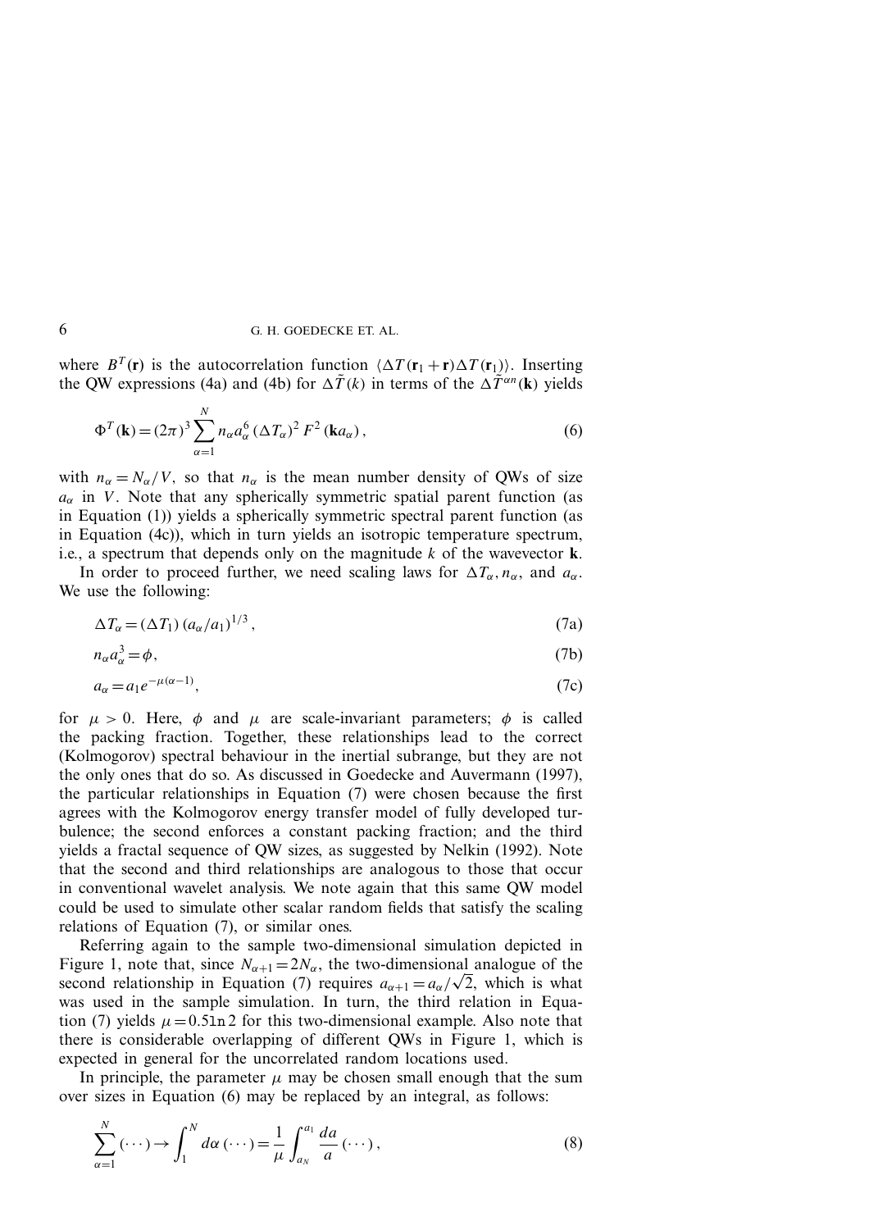where  $B^T(\mathbf{r})$  is the autocorrelation function  $\langle \Delta T(\mathbf{r}_1 + \mathbf{r}) \Delta T(\mathbf{r}_1) \rangle$ . Inserting the QW expressions (4a) and (4b) for  $\Delta \tilde{T}(k)$  in terms of the  $\Delta \tilde{T}^{\alpha n}(\mathbf{k})$  yields

$$
\Phi^{T}(\mathbf{k}) = (2\pi)^{3} \sum_{\alpha=1}^{N} n_{\alpha} a_{\alpha}^{6} (\Delta T_{\alpha})^{2} F^{2} (\mathbf{k} a_{\alpha}), \qquad (6)
$$

with  $n_{\alpha} = N_{\alpha}/V$ , so that  $n_{\alpha}$  is the mean number density of QWs of size  $a_{\alpha}$  in *V*. Note that any spherically symmetric spatial parent function (as in Equation (1)) yields a spherically symmetric spectral parent function (as in Equation (4c)), which in turn yields an isotropic temperature spectrum, i.e., a spectrum that depends only on the magnitude *k* of the wavevector **k**.

In order to proceed further, we need scaling laws for  $\Delta T_{\alpha}$ ,  $n_{\alpha}$ , and  $a_{\alpha}$ . We use the following:

$$
\Delta T_{\alpha} = (\Delta T_1) \left( a_{\alpha} / a_1 \right)^{1/3},\tag{7a}
$$

$$
n_{\alpha}a_{\alpha}^3 = \phi, \tag{7b}
$$

$$
a_{\alpha} = a_1 e^{-\mu(\alpha - 1)},\tag{7c}
$$

for  $\mu > 0$ . Here,  $\phi$  and  $\mu$  are scale-invariant parameters;  $\phi$  is called the packing fraction. Together, these relationships lead to the correct (Kolmogorov) spectral behaviour in the inertial subrange, but they are not the only ones that do so. As discussed in Goedecke and Auvermann (1997), the particular relationships in Equation (7) were chosen because the first agrees with the Kolmogorov energy transfer model of fully developed turbulence; the second enforces a constant packing fraction; and the third yields a fractal sequence of QW sizes, as suggested by Nelkin (1992). Note that the second and third relationships are analogous to those that occur in conventional wavelet analysis. We note again that this same QW model could be used to simulate other scalar random fields that satisfy the scaling relations of Equation (7), or similar ones.

Referring again to the sample two-dimensional simulation depicted in Figure 1, note that, since  $N_{\alpha+1} = 2N_{\alpha}$ , the two-dimensional analogue of the second relationship in Equation (7) requires  $a_{\alpha+1} = a_{\alpha}/\sqrt{2}$ , which is what was used in the sample simulation. In turn, the third relation in Equation (7) yields  $\mu = 0.5 \ln 2$  for this two-dimensional example. Also note that there is considerable overlapping of different QWs in Figure 1, which is expected in general for the uncorrelated random locations used.

In principle, the parameter  $\mu$  may be chosen small enough that the sum over sizes in Equation (6) may be replaced by an integral, as follows:

$$
\sum_{\alpha=1}^{N} (\cdots) \rightarrow \int_{1}^{N} d\alpha (\cdots) = \frac{1}{\mu} \int_{a_{N}}^{a_{1}} \frac{da}{a} (\cdots), \qquad (8)
$$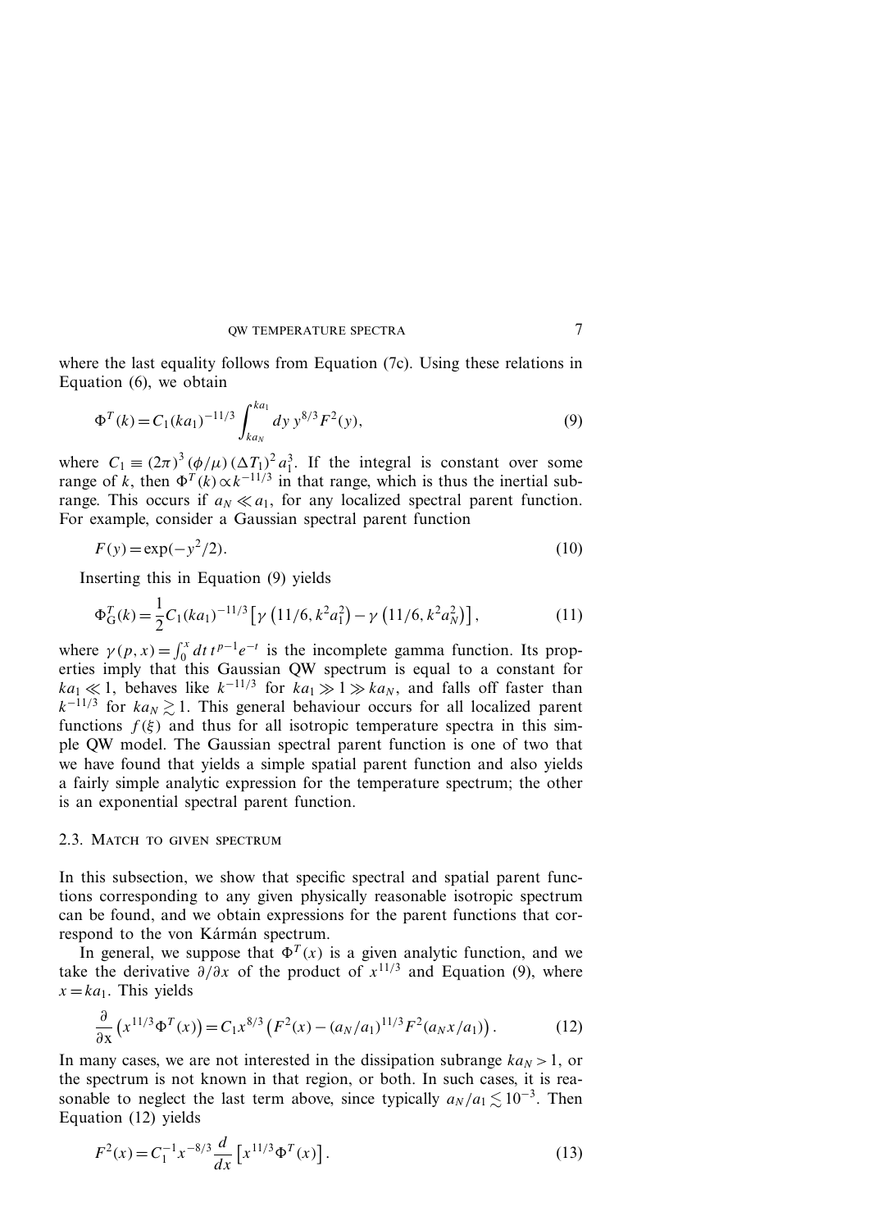where the last equality follows from Equation (7c). Using these relations in Equation (6), we obtain

$$
\Phi^{T}(k) = C_1 (ka_1)^{-11/3} \int_{ka_N}^{ka_1} dy \, y^{8/3} F^2(y), \tag{9}
$$

where  $C_1 \equiv (2\pi)^3 \left(\frac{\phi}{\mu}\right) \left(\frac{\Delta T_1}{\Delta T_1}\right)^2 a_1^3$ . If the integral is constant over some range of *k*, then  $\Phi^{T}(k) \propto k^{-11/3}$  in that range, which is thus the inertial subrange. This occurs if  $a_N \ll a_1$ , for any localized spectral parent function. For example, consider a Gaussian spectral parent function

$$
F(y) = \exp(-y^2/2).
$$
 (10)

Inserting this in Equation (9) yields

$$
\Phi_{\mathcal{G}}^{T}(k) = \frac{1}{2} C_1 (ka_1)^{-11/3} \left[ \gamma \left( 11/6, k^2 a_1^2 \right) - \gamma \left( 11/6, k^2 a_N^2 \right) \right],\tag{11}
$$

where  $\gamma(p, x) = \int_0^x dt t^{p-1} e^{-t}$  is the incomplete gamma function. Its properties imply that this Gaussian QW spectrum is equal to a constant for  $ka_1 \ll 1$ , behaves like  $k^{-11/3}$  for  $ka_1 \gg 1 \gg ka_N$ , and falls off faster than  $k^{-11/3}$  for  $ka_N \geq 1$ . This general behaviour occurs for all localized parent functions  $f(\xi)$  and thus for all isotropic temperature spectra in this simple QW model. The Gaussian spectral parent function is one of two that we have found that yields a simple spatial parent function and also yields a fairly simple analytic expression for the temperature spectrum; the other is an exponential spectral parent function.

#### 2.3. MATCH TO GIVEN SPECTRUM

In this subsection, we show that specific spectral and spatial parent functions corresponding to any given physically reasonable isotropic spectrum can be found, and we obtain expressions for the parent functions that correspond to the von Kármán spectrum.

In general, we suppose that  $\Phi^{T}(x)$  is a given analytic function, and we take the derivative  $\partial/\partial x$  of the product of  $x^{11/3}$  and Equation (9), where  $x = ka_1$ . This yields

$$
\frac{\partial}{\partial x}\left(x^{11/3}\Phi^T(x)\right) = C_1 x^{8/3} \left(F^2(x) - (a_N/a_1)^{11/3} F^2(a_N x/a_1)\right). \tag{12}
$$

In many cases, we are not interested in the dissipation subrange  $ka_N > 1$ , or the spectrum is not known in that region, or both. In such cases, it is reasonable to neglect the last term above, since typically  $a_N/a_1 \lesssim 10^{-3}$ . Then Equation (12) yields

$$
F^{2}(x) = C_{1}^{-1} x^{-8/3} \frac{d}{dx} \left[ x^{11/3} \Phi^{T}(x) \right].
$$
 (13)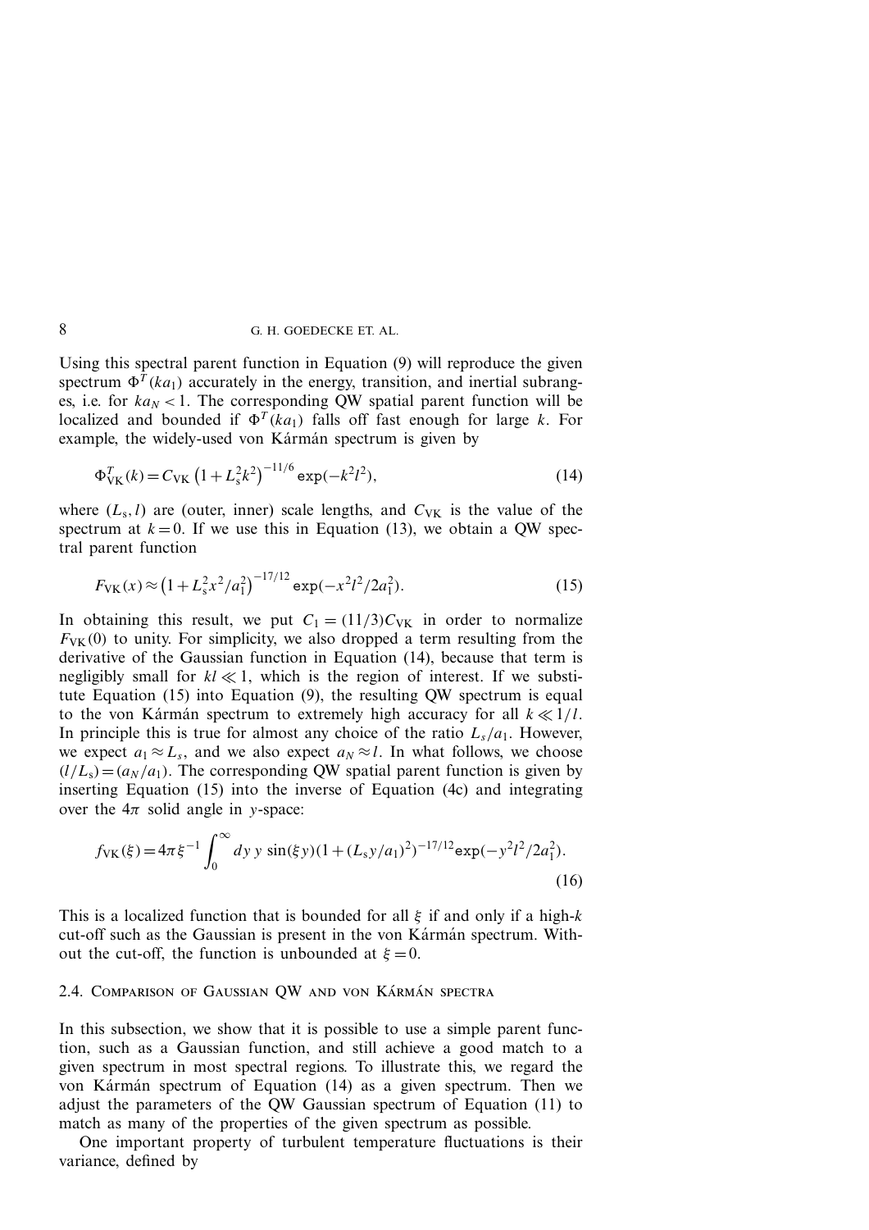Using this spectral parent function in Equation (9) will reproduce the given spectrum  $\Phi^{T}(ka_1)$  accurately in the energy, transition, and inertial subranges, i.e. for  $ka_N < 1$ . The corresponding QW spatial parent function will be localized and bounded if  $\Phi^{T}(ka_1)$  falls off fast enough for large *k*. For example, the widely-used von Kármán spectrum is given by

$$
\Phi_{\text{VK}}^T(k) = C_{\text{VK}} \left( 1 + L_s^2 k^2 \right)^{-11/6} \exp(-k^2 l^2),\tag{14}
$$

where  $(L_s, l)$  are (outer, inner) scale lengths, and  $C_{VK}$  is the value of the spectrum at  $k = 0$ . If we use this in Equation (13), we obtain a QW spectral parent function

$$
F_{\text{VK}}(x) \approx \left(1 + L_s^2 x^2 / a_1^2\right)^{-17/12} \exp(-x^2 l^2 / 2a_1^2). \tag{15}
$$

In obtaining this result, we put  $C_1 = (11/3)C_{\text{VK}}$  in order to normalize  $F_{VK}$ (0) to unity. For simplicity, we also dropped a term resulting from the derivative of the Gaussian function in Equation (14), because that term is negligibly small for  $kl \ll 1$ , which is the region of interest. If we substitute Equation (15) into Equation (9), the resulting QW spectrum is equal to the von Karman spectrum to extremely high accuracy for all  $k \ll 1/l$ . In principle this is true for almost any choice of the ratio  $L_s/a_1$ . However, we expect  $a_1 \approx L_s$ , and we also expect  $a_N \approx l$ . In what follows, we choose  $(l/L<sub>s</sub>) = (a<sub>N</sub>/a<sub>1</sub>)$ . The corresponding QW spatial parent function is given by inserting Equation (15) into the inverse of Equation (4c) and integrating over the  $4\pi$  solid angle in *y*-space:

$$
f_{\rm VK}(\xi) = 4\pi \xi^{-1} \int_0^\infty dy \, y \, \sin(\xi y) (1 + (L_s y/a_1)^2)^{-17/12} \exp(-y^2 l^2 / 2a_1^2).
$$
\n(16)

This is a localized function that is bounded for all *ξ* if and only if a high-*k* cut-off such as the Gaussian is present in the von Kármán spectrum. Without the cut-off, the function is unbounded at  $\xi = 0$ .

## 2.4. COMPARISON OF GAUSSIAN QW AND VON KÁRMÁN SPECTRA

In this subsection, we show that it is possible to use a simple parent function, such as a Gaussian function, and still achieve a good match to a given spectrum in most spectral regions. To illustrate this, we regard the von Kármán spectrum of Equation  $(14)$  as a given spectrum. Then we adjust the parameters of the QW Gaussian spectrum of Equation (11) to match as many of the properties of the given spectrum as possible.

One important property of turbulent temperature fluctuations is their variance, defined by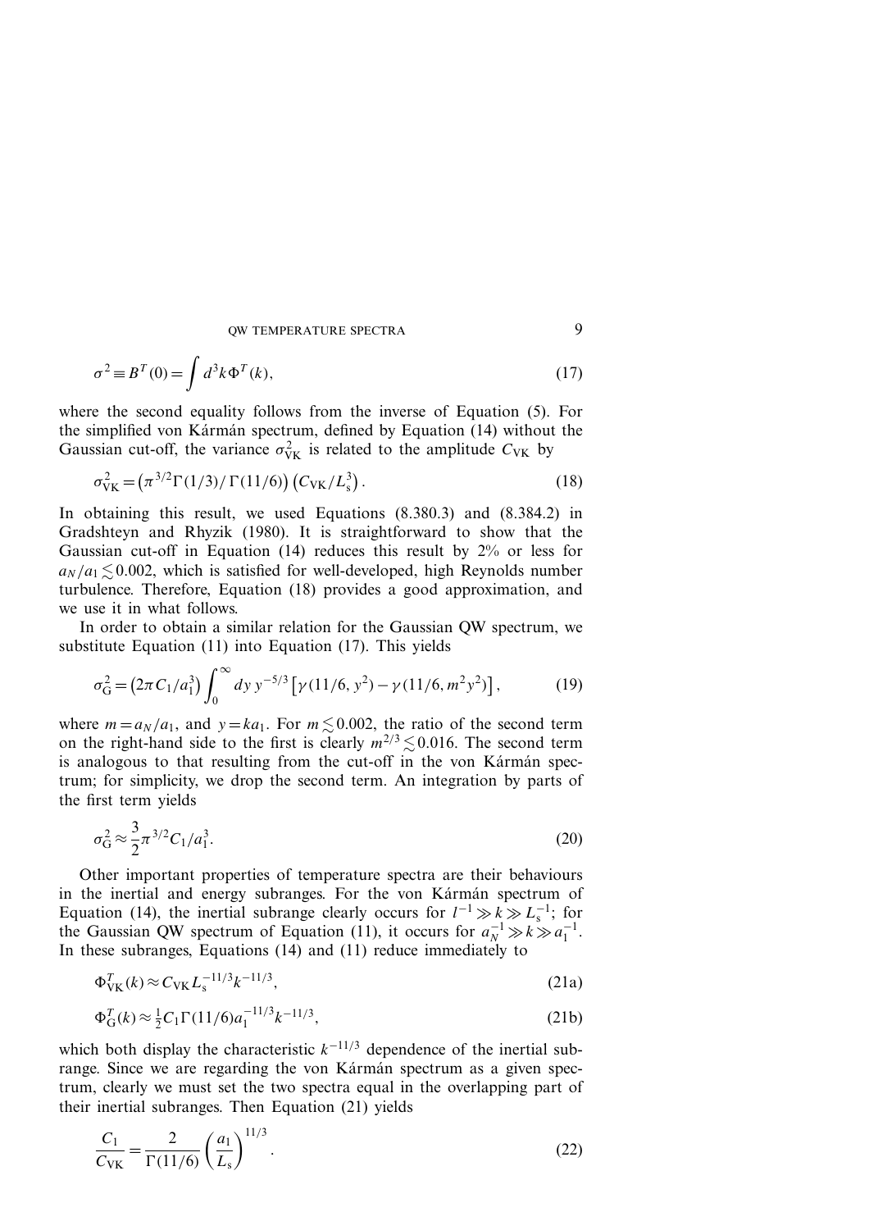$$
\sigma^2 \equiv B^T(0) = \int d^3k \Phi^T(k), \qquad (17)
$$

where the second equality follows from the inverse of Equation (5). For the simplified von Kármán spectrum, defined by Equation  $(14)$  without the Gaussian cut-off, the variance  $\sigma_{\text{VK}}^2$  is related to the amplitude  $C_{\text{VK}}$  by

$$
\sigma_{\rm VK}^2 = \left(\pi^{3/2} \Gamma(1/3) / \Gamma(11/6)\right) \left(C_{\rm VK}/L_s^3\right). \tag{18}
$$

In obtaining this result, we used Equations (8.380.3) and (8.384.2) in Gradshteyn and Rhyzik (1980). It is straightforward to show that the Gaussian cut-off in Equation (14) reduces this result by 2% or less for  $a_N/a_1 \lesssim 0.002$ , which is satisfied for well-developed, high Reynolds number turbulence. Therefore, Equation (18) provides a good approximation, and we use it in what follows.

In order to obtain a similar relation for the Gaussian QW spectrum, we substitute Equation (11) into Equation (17). This yields

$$
\sigma_{\rm G}^2 = \left(2\pi C_1/a_1^3\right) \int_0^\infty dy \, y^{-5/3} \left[\gamma(11/6, y^2) - \gamma(11/6, m^2 y^2)\right],\tag{19}
$$

where  $m = a_N/a_1$ , and  $y = ka_1$ . For  $m \leq 0.002$ , the ratio of the second term on the right-hand side to the first is clearly  $m^{2/3} \lesssim 0.016$ . The second term is analogous to that resulting from the cut-off in the von Karman spectrum; for simplicity, we drop the second term. An integration by parts of the first term yields

$$
\sigma_{\rm G}^2 \approx \frac{3}{2} \pi^{3/2} C_1 / a_1^3. \tag{20}
$$

Other important properties of temperature spectra are their behaviours in the inertial and energy subranges. For the von Kármán spectrum of Equation (14), the inertial subrange clearly occurs for  $l^{-1} \gg k \gg L_s^{-1}$ ; for the Gaussian QW spectrum of Equation (11), it occurs for  $a_N^{-1} \gg k \gg a_1^{-1}$ . In these subranges, Equations (14) and (11) reduce immediately to

$$
\Phi_{\rm VK}^T(k) \approx C_{\rm VK} L_{\rm s}^{-11/3} k^{-11/3},\tag{21a}
$$

$$
\Phi_{\mathcal{G}}^{T}(k) \approx \frac{1}{2} C_1 \Gamma(11/6) a_1^{-11/3} k^{-11/3},\tag{21b}
$$

which both display the characteristic  $k^{-1/3}$  dependence of the inertial subrange. Since we are regarding the von Kármán spectrum as a given spectrum, clearly we must set the two spectra equal in the overlapping part of their inertial subranges. Then Equation (21) yields

$$
\frac{C_1}{C_{\text{VK}}} = \frac{2}{\Gamma(11/6)} \left(\frac{a_1}{L_s}\right)^{11/3}.
$$
 (22)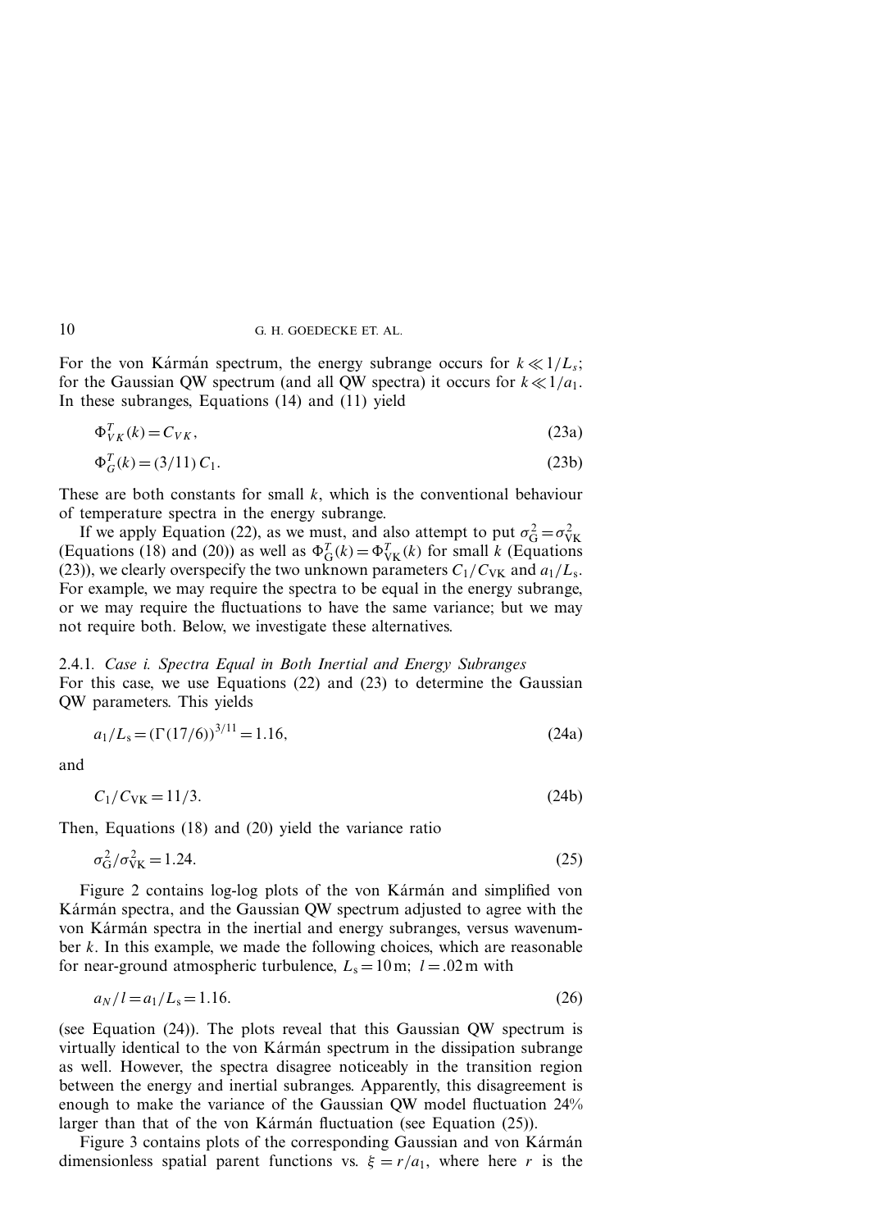For the von Karman spectrum, the energy subrange occurs for  $k \ll 1/L_s$ ; for the Gaussian QW spectrum (and all QW spectra) it occurs for  $k \ll 1/a_1$ . In these subranges, Equations (14) and (11) yield

$$
\Phi_{VK}^T(k) = C_{VK},\tag{23a}
$$

$$
\Phi_G^T(k) = (3/11) C_1. \tag{23b}
$$

These are both constants for small *k*, which is the conventional behaviour of temperature spectra in the energy subrange.

If we apply Equation (22), as we must, and also attempt to put  $\sigma_G^2 = \sigma_{VK}^2$ (Equations (18) and (20)) as well as  $\Phi_G^T(k) = \Phi_{VK}^T(k)$  for small *k* (Equations (23)), we clearly overspecify the two unknown parameters  $C_1/C_{VK}$  and  $a_1/L_s$ . For example, we may require the spectra to be equal in the energy subrange, or we may require the fluctuations to have the same variance; but we may not require both. Below, we investigate these alternatives.

2.4.1*. Case i. Spectra Equal in Both Inertial and Energy Subranges* For this case, we use Equations (22) and (23) to determine the Gaussian QW parameters. This yields

$$
a_1/L_s = (\Gamma(17/6))^{3/11} = 1.16,\tag{24a}
$$

and

$$
C_1/C_{\rm VK} = 11/3. \tag{24b}
$$

Then, Equations (18) and (20) yield the variance ratio

$$
\sigma_{\rm G}^2 / \sigma_{\rm VK}^2 = 1.24. \tag{25}
$$

Figure 2 contains log-log plots of the von Kármán and simplified von Karman spectra, and the Gaussian QW spectrum adjusted to agree with the von Kármán spectra in the inertial and energy subranges, versus wavenumber *k*. In this example, we made the following choices, which are reasonable for near-ground atmospheric turbulence,  $L_s = 10$  m;  $l = .02$  m with

$$
a_N/l = a_1/L_s = 1.16.
$$
\n(26)

(see Equation (24)). The plots reveal that this Gaussian QW spectrum is virtually identical to the von Kármán spectrum in the dissipation subrange as well. However, the spectra disagree noticeably in the transition region between the energy and inertial subranges. Apparently, this disagreement is enough to make the variance of the Gaussian QW model fluctuation 24% larger than that of the von Karman fluctuation (see Equation  $(25)$ ).

Figure 3 contains plots of the corresponding Gaussian and von Kármán dimensionless spatial parent functions vs.  $\xi = r/a_1$ , where here *r* is the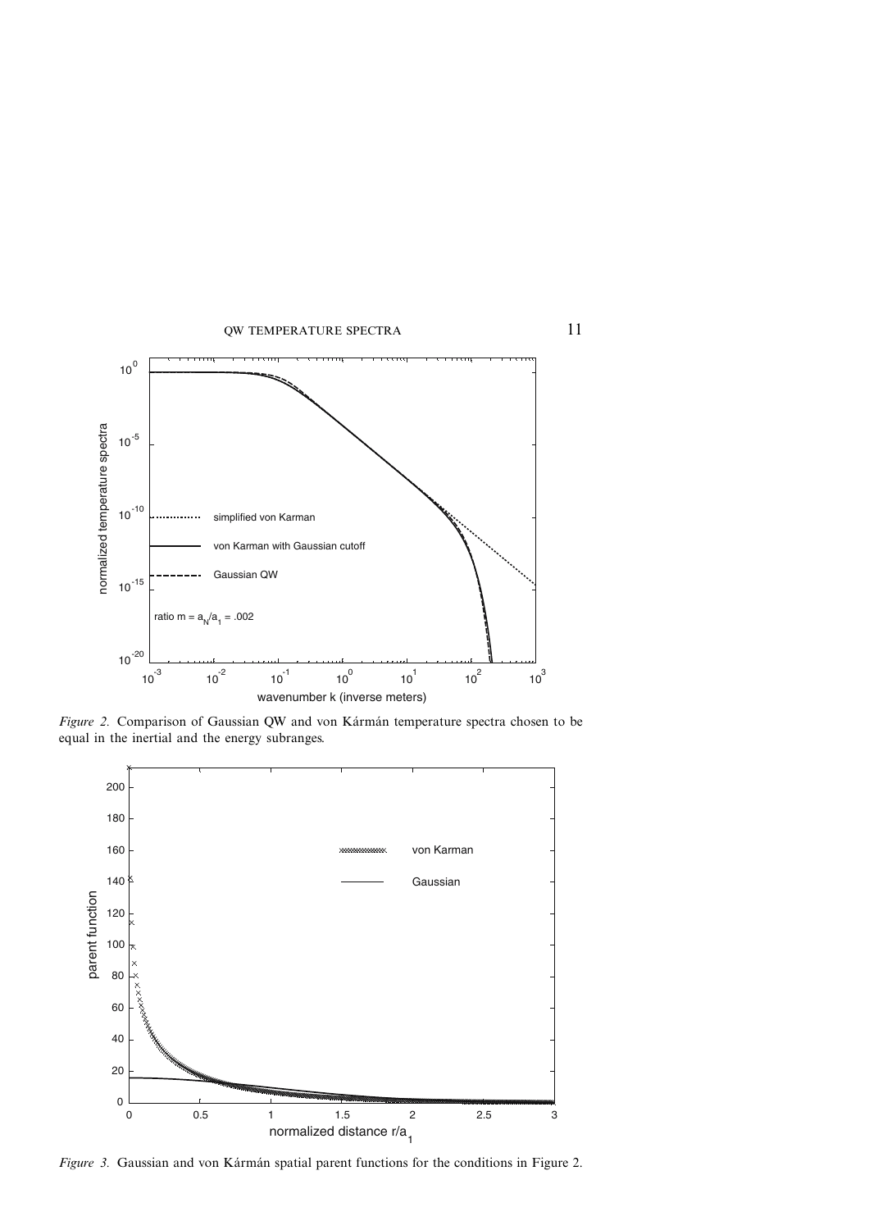

*Figure 2.* Comparison of Gaussian QW and von Kármán temperature spectra chosen to be equal in the inertial and the energy subranges.



*Figure 3.* Gaussian and von Kármán spatial parent functions for the conditions in Figure 2.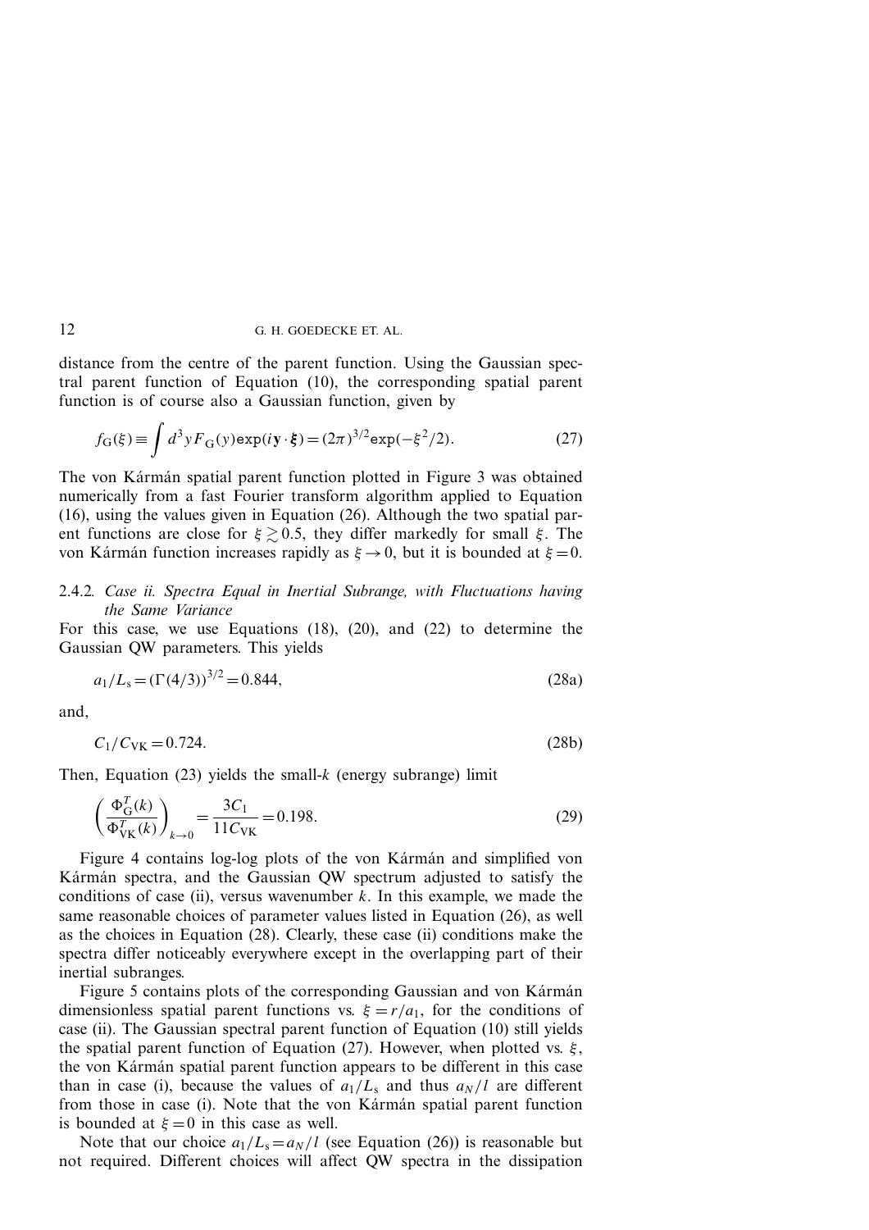distance from the centre of the parent function. Using the Gaussian spectral parent function of Equation (10), the corresponding spatial parent function is of course also a Gaussian function, given by

$$
f_{\mathcal{G}}(\xi) \equiv \int d^3 y F_{\mathcal{G}}(y) \exp(i\mathbf{y} \cdot \xi) = (2\pi)^{3/2} \exp(-\xi^2/2). \tag{27}
$$

The von Kármán spatial parent function plotted in Figure 3 was obtained numerically from a fast Fourier transform algorithm applied to Equation (16), using the values given in Equation (26). Although the two spatial parent functions are close for  $\xi \gtrsim 0.5$ , they differ markedly for small  $\xi$ . The von Kármán function increases rapidly as  $\xi \to 0$ , but it is bounded at  $\xi = 0$ .

# 2.4.2*. Case ii. Spectra Equal in Inertial Subrange, with Fluctuations having the Same Variance*

For this case, we use Equations (18), (20), and (22) to determine the Gaussian QW parameters. This yields

$$
a_1/L_s = (\Gamma(4/3))^{3/2} = 0.844,\tag{28a}
$$

and,

$$
C_1/C_{\rm VK} = 0.724. \tag{28b}
$$

Then, Equation (23) yields the small-*k* (energy subrange) limit

$$
\left(\frac{\Phi_{\rm G}^T(k)}{\Phi_{\rm VK}^T(k)}\right)_{k \to 0} = \frac{3C_1}{11C_{\rm VK}} = 0.198.
$$
\n(29)

Figure 4 contains log-log plots of the von Karman and simplified von Kármán spectra, and the Gaussian QW spectrum adjusted to satisfy the conditions of case (ii), versus wavenumber  $k$ . In this example, we made the same reasonable choices of parameter values listed in Equation (26), as well as the choices in Equation (28). Clearly, these case (ii) conditions make the spectra differ noticeably everywhere except in the overlapping part of their inertial subranges.

Figure 5 contains plots of the corresponding Gaussian and von Kármán dimensionless spatial parent functions vs.  $\xi = r/a_1$ , for the conditions of case (ii). The Gaussian spectral parent function of Equation (10) still yields the spatial parent function of Equation (27). However, when plotted vs. *ξ* , the von Kármán spatial parent function appears to be different in this case than in case (i), because the values of  $a_1/L_s$  and thus  $a_N/l$  are different from those in case (i). Note that the von Kármán spatial parent function is bounded at  $\xi = 0$  in this case as well.

Note that our choice  $a_1/L_s = a_N/l$  (see Equation (26)) is reasonable but not required. Different choices will affect QW spectra in the dissipation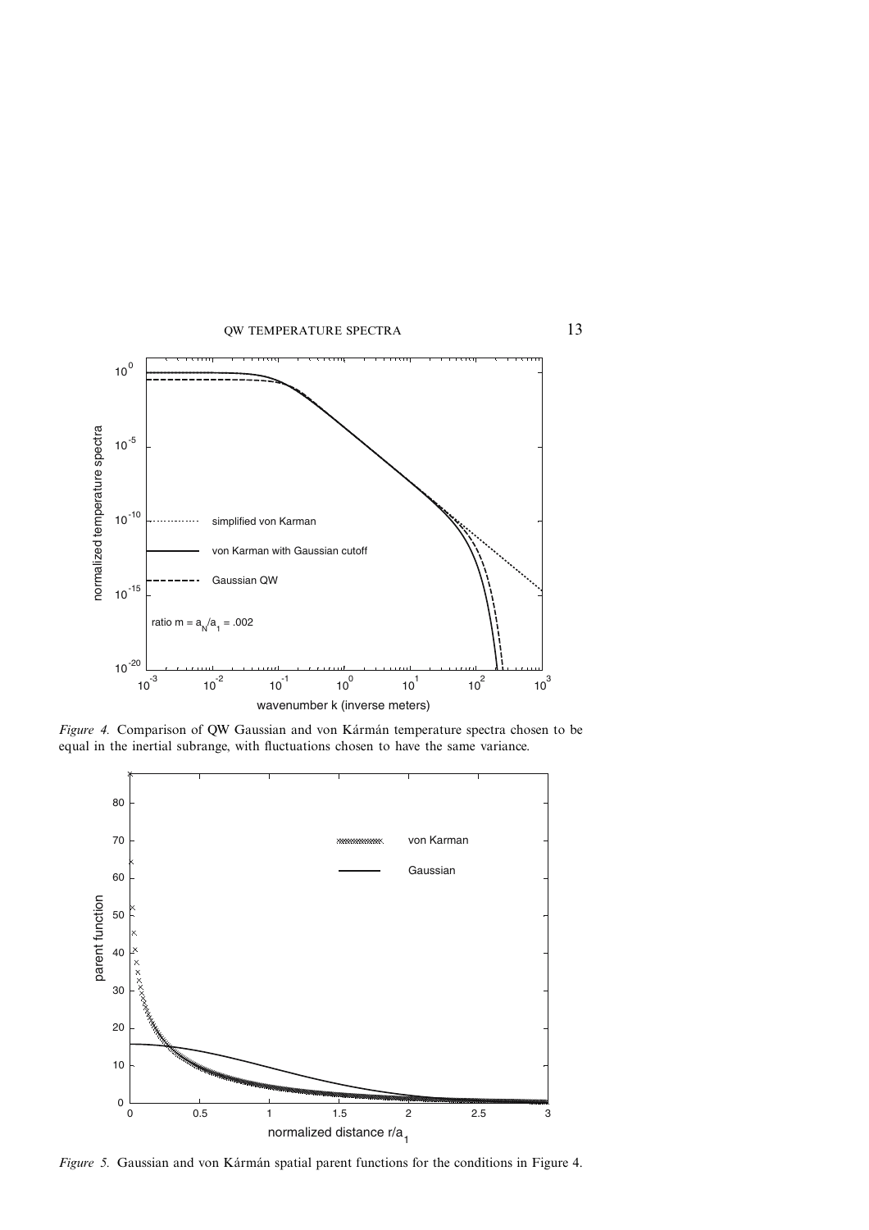

Figure 4. Comparison of QW Gaussian and von Kármán temperature spectra chosen to be equal in the inertial subrange, with fluctuations chosen to have the same variance.



*Figure 5.* Gaussian and von Kármán spatial parent functions for the conditions in Figure 4.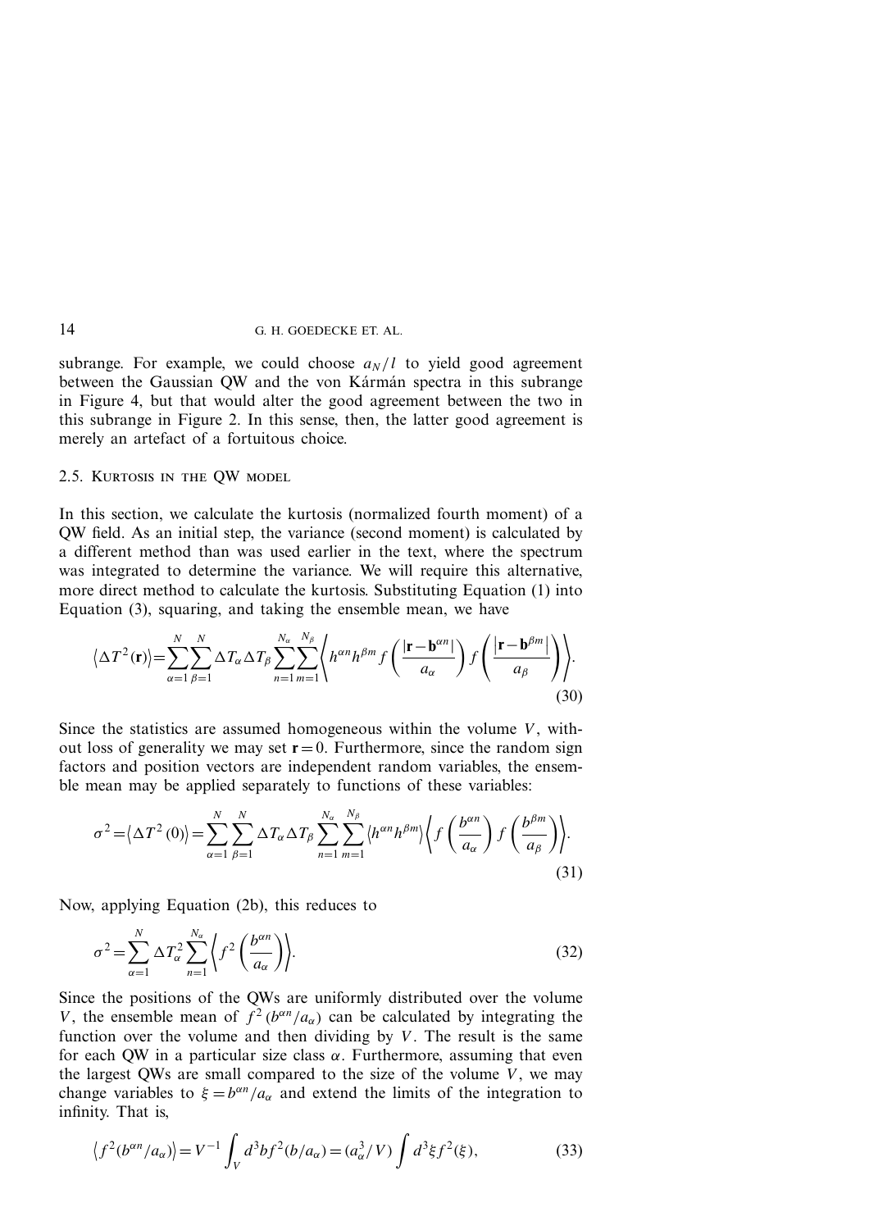subrange. For example, we could choose  $a_N/l$  to yield good agreement between the Gaussian QW and the von Kármán spectra in this subrange in Figure 4, but that would alter the good agreement between the two in this subrange in Figure 2. In this sense, then, the latter good agreement is merely an artefact of a fortuitous choice.

### 2.5. Kurtosis in the QW model

In this section, we calculate the kurtosis (normalized fourth moment) of a QW field. As an initial step, the variance (second moment) is calculated by a different method than was used earlier in the text, where the spectrum was integrated to determine the variance. We will require this alternative, more direct method to calculate the kurtosis. Substituting Equation (1) into Equation (3), squaring, and taking the ensemble mean, we have

$$
\left\langle \Delta T^2(\mathbf{r}) \right\rangle = \sum_{\alpha=1}^N \sum_{\beta=1}^N \Delta T_\alpha \Delta T_\beta \sum_{n=1}^{N_\alpha} \sum_{m=1}^{N_\beta} \left\langle h^{\alpha n} h^{\beta m} f\left(\frac{|\mathbf{r} - \mathbf{b}^{\alpha n}|}{a_\alpha}\right) f\left(\frac{|\mathbf{r} - \mathbf{b}^{\beta m}|}{a_\beta}\right) \right\rangle.
$$
\n(30)

Since the statistics are assumed homogeneous within the volume *V*, without loss of generality we may set  $r = 0$ . Furthermore, since the random sign factors and position vectors are independent random variables, the ensemble mean may be applied separately to functions of these variables:

$$
\sigma^{2} = \langle \Delta T^{2}(0) \rangle = \sum_{\alpha=1}^{N} \sum_{\beta=1}^{N} \Delta T_{\alpha} \Delta T_{\beta} \sum_{n=1}^{N_{\alpha}} \sum_{m=1}^{N_{\beta}} \langle h^{\alpha n} h^{\beta m} \rangle \langle f \left( \frac{b^{\alpha n}}{a_{\alpha}} \right) f \left( \frac{b^{\beta m}}{a_{\beta}} \right) \rangle.
$$
\n(31)

Now, applying Equation (2b), this reduces to

$$
\sigma^2 = \sum_{\alpha=1}^N \Delta T_\alpha^2 \sum_{n=1}^{N_\alpha} \left\langle f^2 \left( \frac{b^{\alpha n}}{a_\alpha} \right) \right\rangle.
$$
 (32)

Since the positions of the QWs are uniformly distributed over the volume *V*, the ensemble mean of  $f^2(b^{\alpha n}/a_\alpha)$  can be calculated by integrating the function over the volume and then dividing by  $V$ . The result is the same for each QW in a particular size class  $\alpha$ . Furthermore, assuming that even the largest QWs are small compared to the size of the volume *V* , we may change variables to  $\xi = b^{\alpha n}/a_{\alpha}$  and extend the limits of the integration to infinity. That is,

$$
\langle f^2(b^{\alpha n}/a_\alpha) \rangle = V^{-1} \int_V d^3b f^2(b/a_\alpha) = (a_\alpha^3/V) \int d^3\xi f^2(\xi), \tag{33}
$$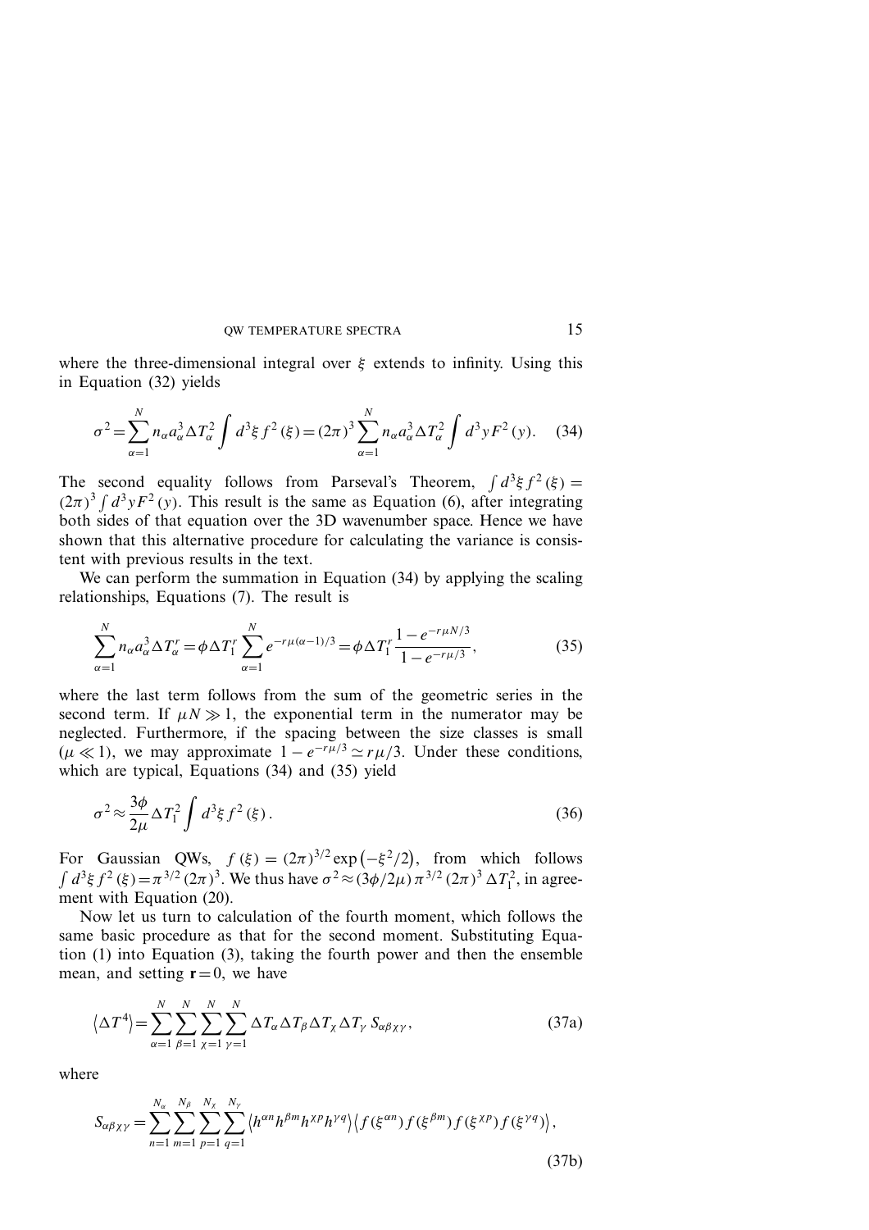where the three-dimensional integral over *ξ* extends to infinity. Using this in Equation (32) yields

$$
\sigma^2 = \sum_{\alpha=1}^N n_{\alpha} a_{\alpha}^3 \Delta T_{\alpha}^2 \int d^3 \xi f^2 (\xi) = (2\pi)^3 \sum_{\alpha=1}^N n_{\alpha} a_{\alpha}^3 \Delta T_{\alpha}^2 \int d^3 y F^2 (y). \tag{34}
$$

The second equality follows from Parseval's Theorem,  $\int d^3\xi f^2(\xi)$  =  $(2\pi)^3 \int d^3y F^2(y)$ . This result is the same as Equation (6), after integrating both sides of that equation over the 3D wavenumber space. Hence we have shown that this alternative procedure for calculating the variance is consistent with previous results in the text.

We can perform the summation in Equation (34) by applying the scaling relationships, Equations (7). The result is

$$
\sum_{\alpha=1}^{N} n_{\alpha} a_{\alpha}^{3} \Delta T_{\alpha}^{r} = \phi \Delta T_{1}^{r} \sum_{\alpha=1}^{N} e^{-r\mu(\alpha-1)/3} = \phi \Delta T_{1}^{r} \frac{1 - e^{-r\mu N/3}}{1 - e^{-r\mu/3}},
$$
(35)

where the last term follows from the sum of the geometric series in the second term. If  $\mu N \gg 1$ , the exponential term in the numerator may be neglected. Furthermore, if the spacing between the size classes is small  $(\mu \ll 1)$ , we may approximate  $1 - e^{-r\mu/3} \simeq r\mu/3$ . Under these conditions, which are typical, Equations (34) and (35) yield

$$
\sigma^2 \approx \frac{3\phi}{2\mu} \Delta T_1^2 \int d^3\xi f^2(\xi). \tag{36}
$$

For Gaussian QWs,  $f(\xi) = (2\pi)^{3/2} \exp(-\xi^2/2)$ , from which follows  $\int d^3 \xi f^2(\xi) = \pi^{3/2} (2\pi)^3$ . We thus have  $\sigma^2 \approx (3\phi/2\mu) \pi^{3/2} (2\pi)^3 \Delta T_1^2$ , in agreement with Equation (20).

Now let us turn to calculation of the fourth moment, which follows the same basic procedure as that for the second moment. Substituting Equation (1) into Equation (3), taking the fourth power and then the ensemble mean, and setting  $\mathbf{r}=0$ , we have

$$
\left\langle \Delta T^4 \right\rangle = \sum_{\alpha=1}^N \sum_{\beta=1}^N \sum_{\chi=1}^N \sum_{\gamma=1}^N \Delta T_\alpha \Delta T_\beta \Delta T_\chi \Delta T_\gamma S_{\alpha\beta\chi\gamma},\tag{37a}
$$

where

$$
S_{\alpha\beta\chi\gamma} = \sum_{n=1}^{N_{\alpha}} \sum_{m=1}^{N_{\beta}} \sum_{p=1}^{N_{\chi}} \sum_{q=1}^{N_{\gamma}} \langle h^{\alpha n} h^{\beta m} h^{\chi p} h^{\gamma q} \rangle \langle f(\xi^{\alpha n}) f(\xi^{\beta m}) f(\xi^{\chi p}) f(\xi^{\gamma q}) \rangle, \tag{37b}
$$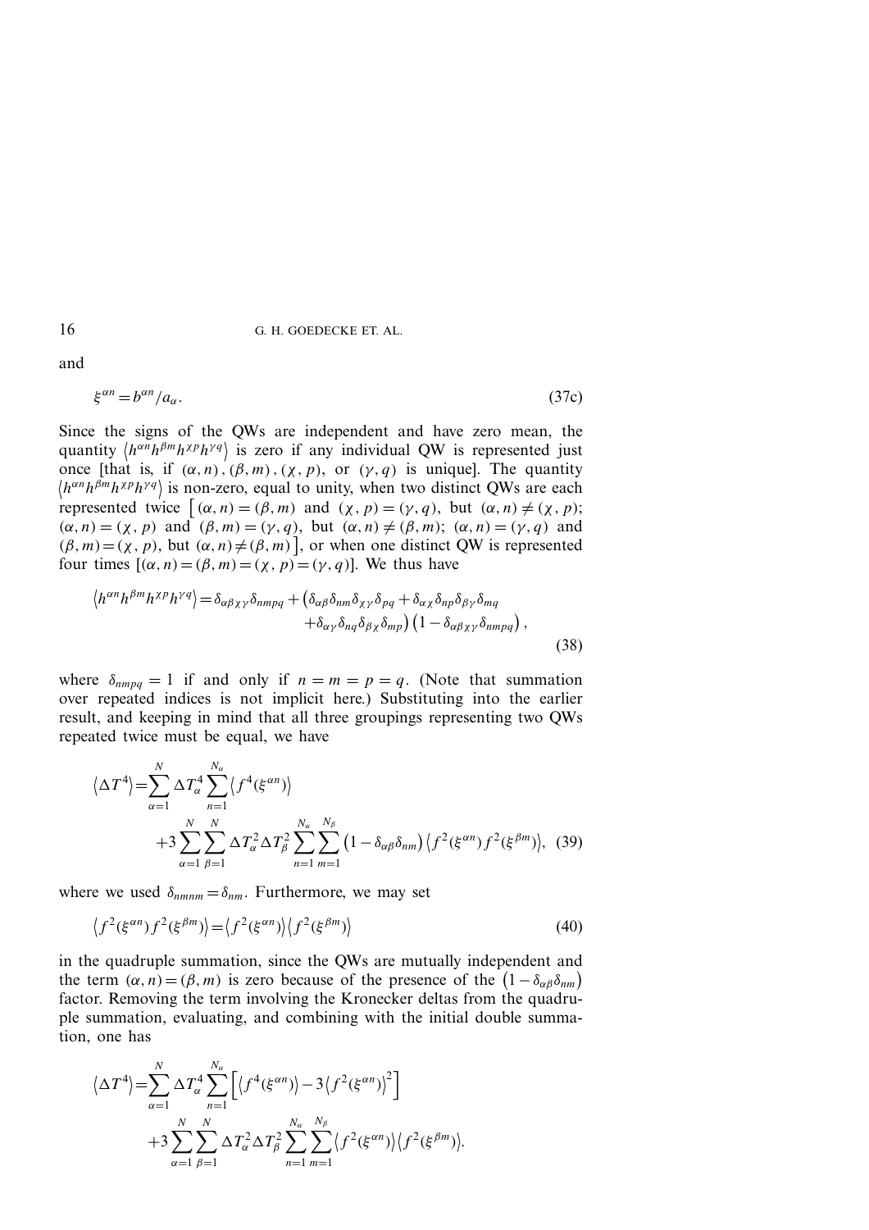and

$$
\xi^{\alpha n} = b^{\alpha n} / a_{\alpha}.\tag{37c}
$$

Since the signs of the QWs are independent and have zero mean, the quantity  $\langle h^{\alpha n}h^{\beta m}h^{\chi p}h^{\gamma q}\rangle$  is zero if any individual QW is represented just once [that is, if  $(\alpha, n)$ ,  $(\beta, m)$ ,  $(\chi, p)$ , or  $(\gamma, q)$  is unique]. The quantity  $\langle h^{\alpha n} h^{\beta m} h^{\chi p} h^{\gamma q} \rangle$  is non-zero, equal to unity, when two distinct QWs are each represented twice  $[(\alpha, n) = (\beta, m)$  and  $(\chi, p) = (\gamma, q)$ , but  $(\alpha, n) \neq (\chi, p)$ ;  $(\alpha, n) = (\chi, p)$  and  $(\beta, m) = (\gamma, q)$ , but  $(\alpha, n) \neq (\beta, m)$ ;  $(\alpha, n) = (\gamma, q)$  and  $(\beta, m) = (\chi, p)$ , but  $(\alpha, n) \neq (\beta, m)$ , or when one distinct QW is represented four times  $[(\alpha, n) = (\beta, m) = (\gamma, p) = (\gamma, q)]$ . We thus have

$$
\langle h^{\alpha n} h^{\beta m} h^{\gamma p} h^{\gamma q} \rangle = \delta_{\alpha \beta \chi \gamma} \delta_{nmpq} + \left( \delta_{\alpha \beta} \delta_{n m} \delta_{\chi \gamma} \delta_{p q} + \delta_{\alpha \chi} \delta_{n p} \delta_{\beta \gamma} \delta_{m q} + \delta_{\alpha \gamma} \delta_{n q} \delta_{\beta \chi} \delta_{m p} \right) \left( 1 - \delta_{\alpha \beta \chi \gamma} \delta_{nmpq} \right),
$$
\n(38)

where  $\delta_{nmpq} = 1$  if and only if  $n = m = p = q$ . (Note that summation over repeated indices is not implicit here.) Substituting into the earlier result, and keeping in mind that all three groupings representing two QWs repeated twice must be equal, we have

$$
\langle \Delta T^4 \rangle = \sum_{\alpha=1}^N \Delta T_\alpha^4 \sum_{n=1}^{N_\alpha} \langle f^4(\xi^{\alpha n}) \rangle
$$
  
+3 
$$
\sum_{\alpha=1}^N \sum_{\beta=1}^N \Delta T_\alpha^2 \Delta T_\beta^2 \sum_{n=1}^{N_\alpha} \sum_{m=1}^{N_\beta} (1 - \delta_{\alpha \beta} \delta_{nm}) \langle f^2(\xi^{\alpha n}) f^2(\xi^{\beta m}) \rangle, (39)
$$

where we used  $\delta_{nnnnm} = \delta_{nm}$ . Furthermore, we may set

$$
\langle f^2(\xi^{\alpha n}) f^2(\xi^{\beta m}) \rangle = \langle f^2(\xi^{\alpha n}) \rangle \langle f^2(\xi^{\beta m}) \rangle \tag{40}
$$

in the quadruple summation, since the QWs are mutually independent and the term  $(\alpha, n) = (\beta, m)$  is zero because of the presence of the  $(1 - \delta_{\alpha\beta}\delta_{nm})$ factor. Removing the term involving the Kronecker deltas from the quadruple summation, evaluating, and combining with the initial double summation, one has

$$
\langle \Delta T^4 \rangle = \sum_{\alpha=1}^N \Delta T_\alpha^4 \sum_{n=1}^{N_\alpha} \left[ \langle f^4(\xi^{\alpha n}) \rangle - 3 \langle f^2(\xi^{\alpha n}) \rangle^2 \right] + 3 \sum_{\alpha=1}^N \sum_{\beta=1}^N \Delta T_\alpha^2 \Delta T_\beta^2 \sum_{n=1}^{N_\alpha} \sum_{m=1}^{N_\beta} \langle f^2(\xi^{\alpha n}) \rangle \langle f^2(\xi^{\beta m}) \rangle.
$$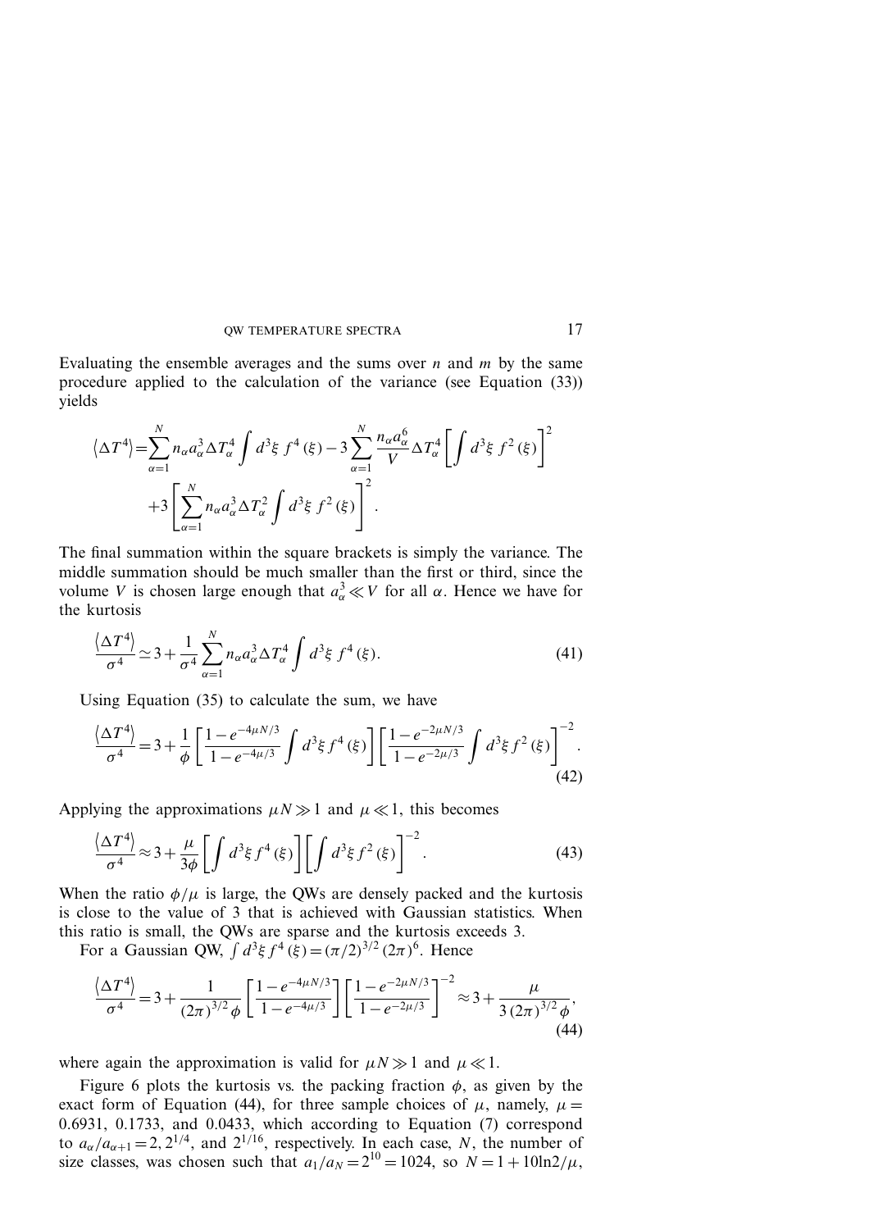Evaluating the ensemble averages and the sums over *n* and *m* by the same procedure applied to the calculation of the variance (see Equation (33)) yields

$$
\langle \Delta T^{4} \rangle = \sum_{\alpha=1}^{N} n_{\alpha} a_{\alpha}^{3} \Delta T_{\alpha}^{4} \int d^{3} \xi f^{4}(\xi) - 3 \sum_{\alpha=1}^{N} \frac{n_{\alpha} a_{\alpha}^{6}}{V} \Delta T_{\alpha}^{4} \left[ \int d^{3} \xi f^{2}(\xi) \right]^{2} + 3 \left[ \sum_{\alpha=1}^{N} n_{\alpha} a_{\alpha}^{3} \Delta T_{\alpha}^{2} \int d^{3} \xi f^{2}(\xi) \right]^{2}.
$$

The final summation within the square brackets is simply the variance. The middle summation should be much smaller than the first or third, since the volume *V* is chosen large enough that  $a^3_\alpha \ll V$  for all *α*. Hence we have for the kurtosis

$$
\frac{\langle \Delta T^4 \rangle}{\sigma^4} \simeq 3 + \frac{1}{\sigma^4} \sum_{\alpha=1}^N n_\alpha a_\alpha^3 \Delta T_\alpha^4 \int d^3 \xi f^4(\xi). \tag{41}
$$

Using Equation (35) to calculate the sum, we have

$$
\frac{\langle \Delta T^4 \rangle}{\sigma^4} = 3 + \frac{1}{\phi} \left[ \frac{1 - e^{-4\mu N/3}}{1 - e^{-4\mu/3}} \int d^3 \xi f^4(\xi) \right] \left[ \frac{1 - e^{-2\mu N/3}}{1 - e^{-2\mu/3}} \int d^3 \xi f^2(\xi) \right]^{-2}.
$$
\n(42)

Applying the approximations  $\mu N \gg 1$  and  $\mu \ll 1$ , this becomes

$$
\frac{\langle \Delta T^4 \rangle}{\sigma^4} \approx 3 + \frac{\mu}{3\phi} \left[ \int d^3 \xi f^4(\xi) \right] \left[ \int d^3 \xi f^2(\xi) \right]^{-2} . \tag{43}
$$

When the ratio  $\phi/\mu$  is large, the QWs are densely packed and the kurtosis is close to the value of 3 that is achieved with Gaussian statistics. When this ratio is small, the QWs are sparse and the kurtosis exceeds 3.

For a Gaussian QW,  $\int d^3\xi f^4(\xi) = (\pi/2)^{3/2} (2\pi)^6$ . Hence

$$
\frac{\langle \Delta T^4 \rangle}{\sigma^4} = 3 + \frac{1}{(2\pi)^{3/2} \phi} \left[ \frac{1 - e^{-4\mu N/3}}{1 - e^{-4\mu/3}} \right] \left[ \frac{1 - e^{-2\mu N/3}}{1 - e^{-2\mu/3}} \right]^{-2} \approx 3 + \frac{\mu}{3 \left( 2\pi \right)^{3/2} \phi},\tag{44}
$$

where again the approximation is valid for  $\mu N \gg 1$  and  $\mu \ll 1$ .

Figure 6 plots the kurtosis vs. the packing fraction  $\phi$ , as given by the exact form of Equation (44), for three sample choices of  $\mu$ , namely,  $\mu =$ 0*.*6931, 0.1733, and 0.0433, which according to Equation (7) correspond to  $a_{\alpha}/a_{\alpha+1} = 2$ , 2<sup>1/4</sup>, and 2<sup>1/16</sup>, respectively. In each case, *N*, the number of size classes, was chosen such that  $a_1/a_N = 2^{10} = 1024$ , so  $N = 1 + 10\ln 2/\mu$ ,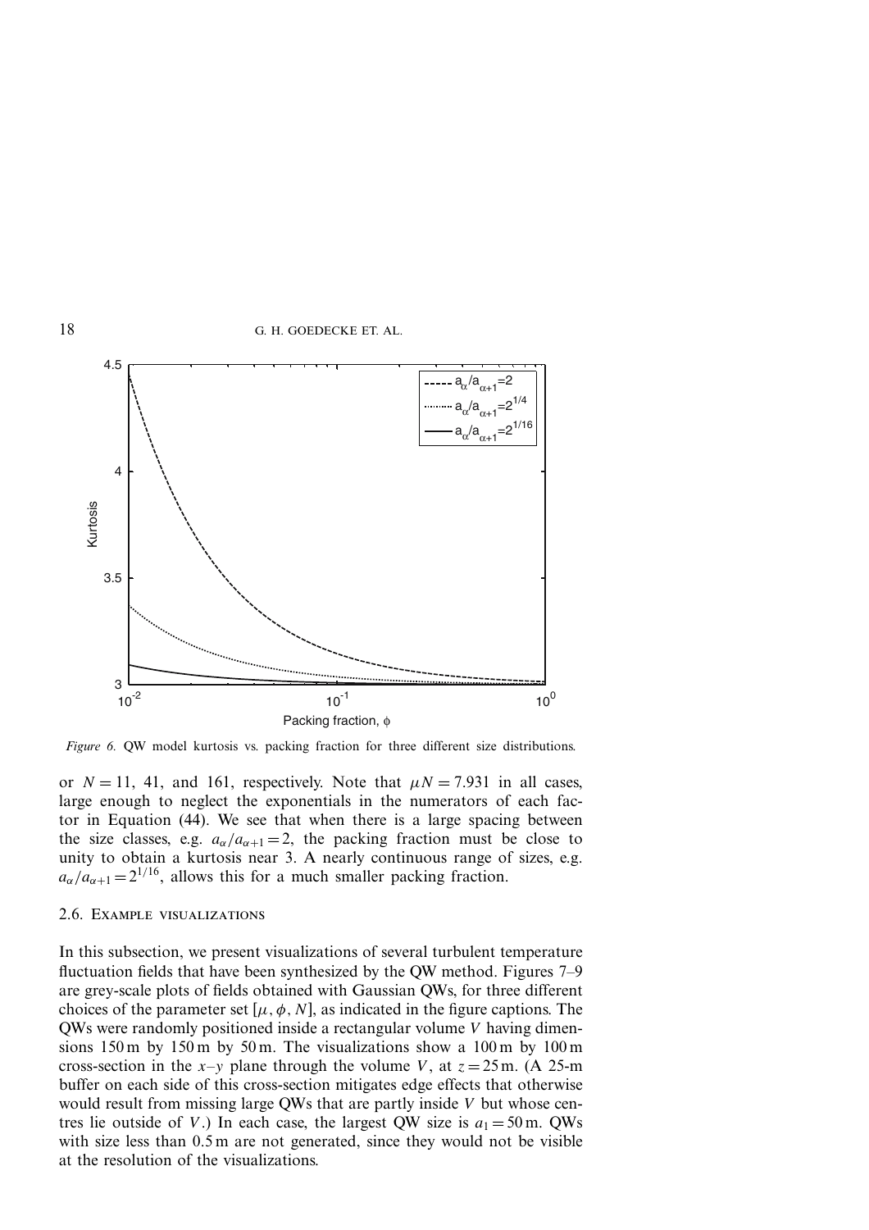

*Figure 6.* QW model kurtosis vs. packing fraction for three different size distributions.

or  $N = 11$ , 41, and 161, respectively. Note that  $\mu N = 7.931$  in all cases, large enough to neglect the exponentials in the numerators of each factor in Equation (44). We see that when there is a large spacing between the size classes, e.g.  $a_{\alpha}/a_{\alpha+1} = 2$ , the packing fraction must be close to unity to obtain a kurtosis near 3. A nearly continuous range of sizes, e.g.  $a_{\alpha}/a_{\alpha+1} = 2^{1/16}$ , allows this for a much smaller packing fraction.

### 2.6. Example visualizations

In this subsection, we present visualizations of several turbulent temperature fluctuation fields that have been synthesized by the QW method. Figures 7–9 are grey-scale plots of fields obtained with Gaussian QWs, for three different choices of the parameter set  $[\mu, \phi, N]$ , as indicated in the figure captions. The QWs were randomly positioned inside a rectangular volume *V* having dimensions 150 m by 150 m by 50 m. The visualizations show a 100 m by 100 m cross-section in the  $x-y$  plane through the volume *V*, at  $z = 25$  m. (A 25-m) buffer on each side of this cross-section mitigates edge effects that otherwise would result from missing large QWs that are partly inside *V* but whose centres lie outside of *V*.) In each case, the largest QW size is  $a_1 = 50$  m. QWs with size less than 0.5 m are not generated, since they would not be visible at the resolution of the visualizations.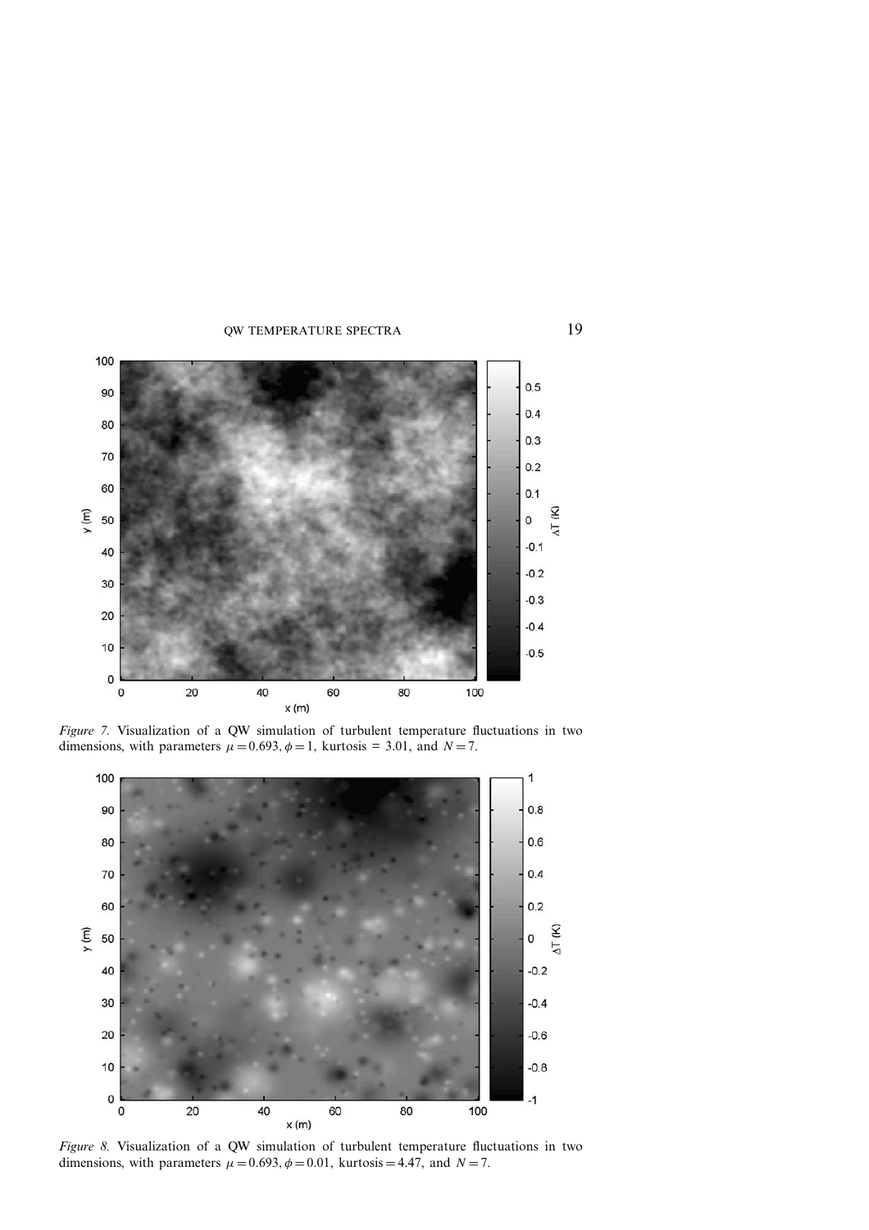

*Figure 7.* Visualization of a QW simulation of turbulent temperature fluctuations in two dimensions, with parameters  $\mu = 0.693$ ,  $\phi = 1$ , kurtosis = 3.01, and *N* = 7.



*Figure 8.* Visualization of a QW simulation of turbulent temperature fluctuations in two dimensions, with parameters  $\mu = 0.693$ ,  $\phi = 0.01$ , kurtosis = 4.47, and *N* = 7.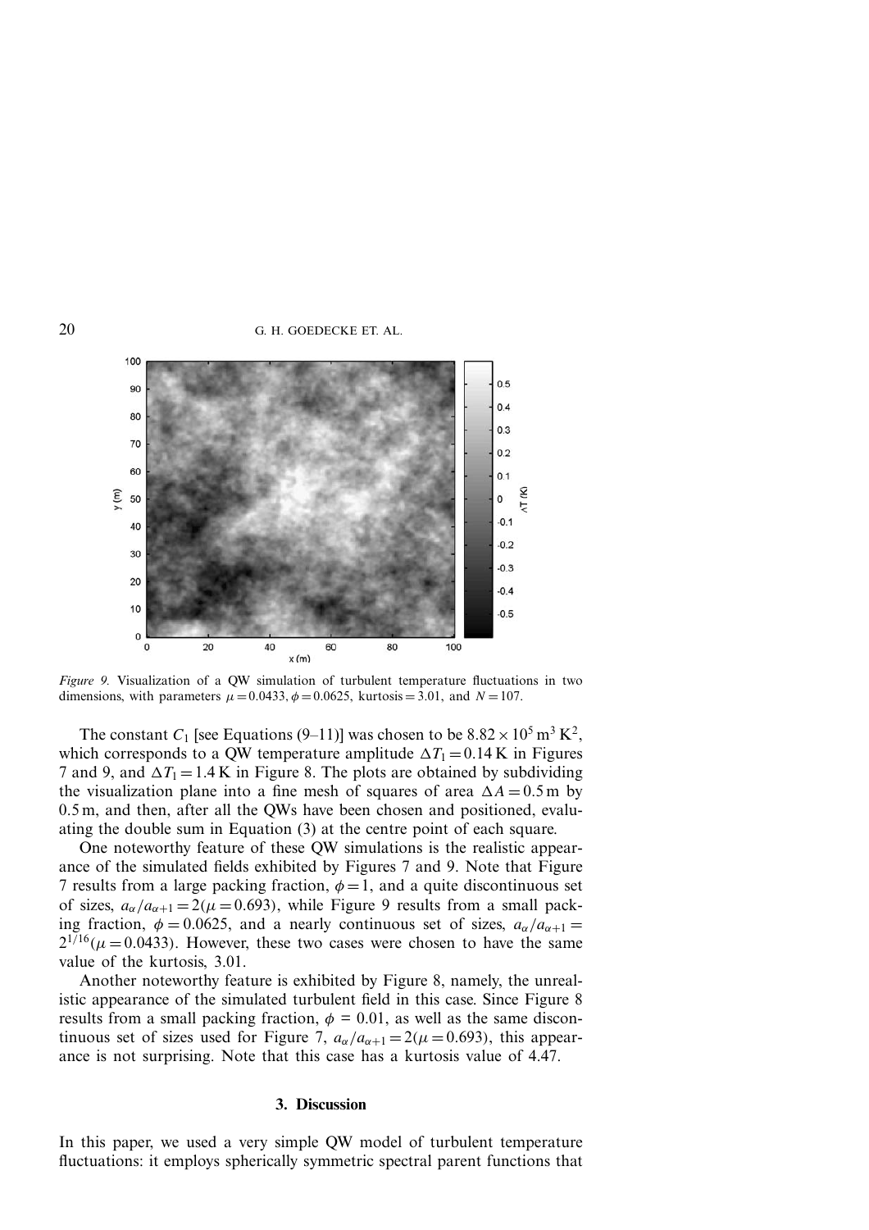

*Figure 9.* Visualization of a QW simulation of turbulent temperature fluctuations in two dimensions, with parameters  $\mu = 0.0433$ ,  $\phi = 0.0625$ , kurtosis = 3.01, and  $N = 107$ .

The constant  $C_1$  [see Equations (9–11)] was chosen to be  $8.82 \times 10^5$  m<sup>3</sup> K<sup>2</sup>, which corresponds to a QW temperature amplitude  $\Delta T_1 = 0.14$  K in Figures 7 and 9, and  $\Delta T_1 = 1.4$  K in Figure 8. The plots are obtained by subdividing the visualization plane into a fine mesh of squares of area  $\Delta A = 0.5$  m by 0.5 m, and then, after all the QWs have been chosen and positioned, evaluating the double sum in Equation (3) at the centre point of each square.

One noteworthy feature of these QW simulations is the realistic appearance of the simulated fields exhibited by Figures 7 and 9. Note that Figure 7 results from a large packing fraction,  $\phi = 1$ , and a quite discontinuous set of sizes,  $a_{\alpha}/a_{\alpha+1} = 2(\mu = 0.693)$ , while Figure 9 results from a small packing fraction,  $\phi = 0.0625$ , and a nearly continuous set of sizes,  $a_{\alpha}/a_{\alpha+1} =$  $2^{1/16}$ ( $\mu$  = 0.0433). However, these two cases were chosen to have the same value of the kurtosis, 3.01.

Another noteworthy feature is exhibited by Figure 8, namely, the unrealistic appearance of the simulated turbulent field in this case. Since Figure 8 results from a small packing fraction,  $\phi = 0.01$ , as well as the same discontinuous set of sizes used for Figure 7,  $a_{\alpha}/a_{\alpha+1} = 2(\mu = 0.693)$ , this appearance is not surprising. Note that this case has a kurtosis value of 4.47.

#### **3. Discussion**

In this paper, we used a very simple QW model of turbulent temperature fluctuations: it employs spherically symmetric spectral parent functions that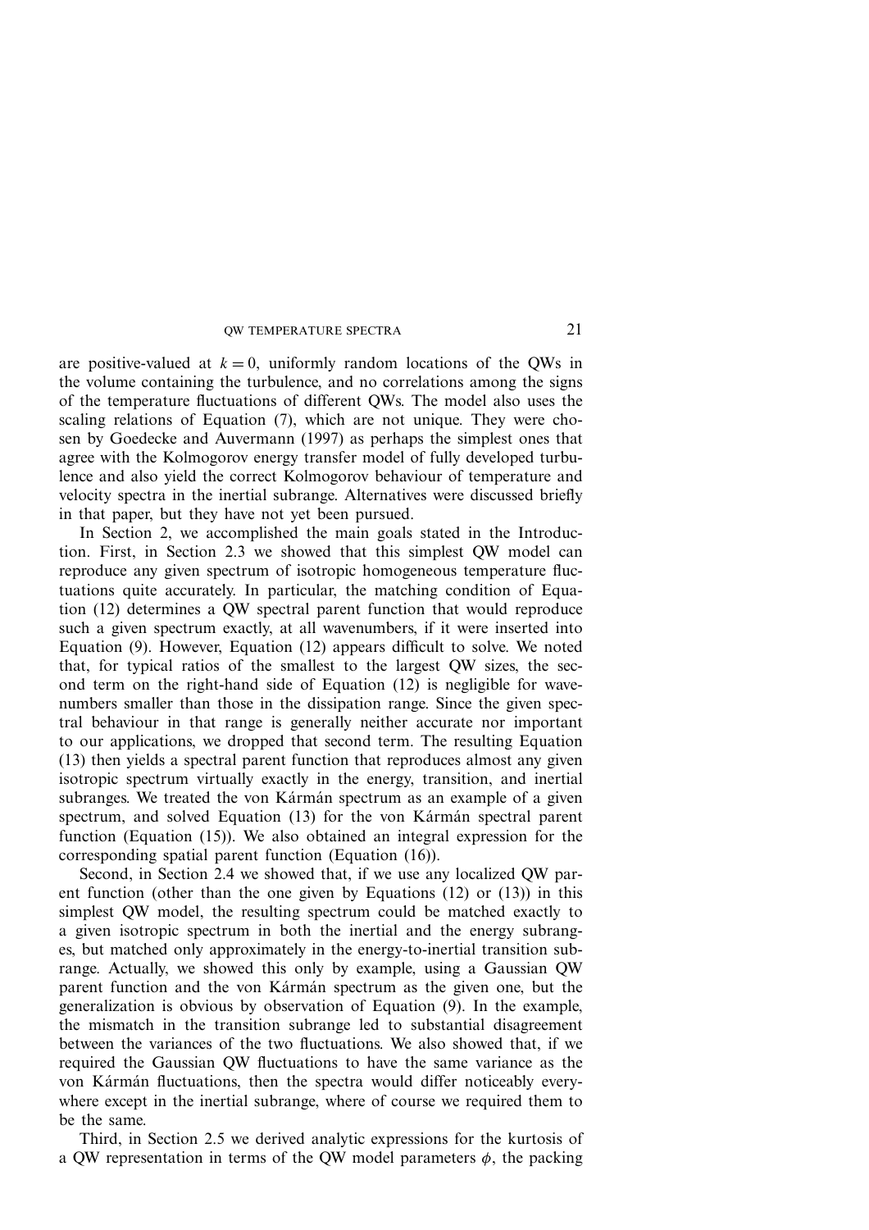are positive-valued at  $k = 0$ , uniformly random locations of the QWs in the volume containing the turbulence, and no correlations among the signs of the temperature fluctuations of different QWs. The model also uses the scaling relations of Equation (7), which are not unique. They were chosen by Goedecke and Auvermann (1997) as perhaps the simplest ones that agree with the Kolmogorov energy transfer model of fully developed turbulence and also yield the correct Kolmogorov behaviour of temperature and velocity spectra in the inertial subrange. Alternatives were discussed briefly in that paper, but they have not yet been pursued.

In Section 2, we accomplished the main goals stated in the Introduction. First, in Section 2.3 we showed that this simplest QW model can reproduce any given spectrum of isotropic homogeneous temperature fluctuations quite accurately. In particular, the matching condition of Equation (12) determines a QW spectral parent function that would reproduce such a given spectrum exactly, at all wavenumbers, if it were inserted into Equation (9). However, Equation (12) appears difficult to solve. We noted that, for typical ratios of the smallest to the largest QW sizes, the second term on the right-hand side of Equation (12) is negligible for wavenumbers smaller than those in the dissipation range. Since the given spectral behaviour in that range is generally neither accurate nor important to our applications, we dropped that second term. The resulting Equation (13) then yields a spectral parent function that reproduces almost any given isotropic spectrum virtually exactly in the energy, transition, and inertial subranges. We treated the von Kármán spectrum as an example of a given spectrum, and solved Equation  $(13)$  for the von Kármán spectral parent function (Equation (15)). We also obtained an integral expression for the corresponding spatial parent function (Equation (16)).

Second, in Section 2.4 we showed that, if we use any localized QW parent function (other than the one given by Equations (12) or (13)) in this simplest QW model, the resulting spectrum could be matched exactly to a given isotropic spectrum in both the inertial and the energy subranges, but matched only approximately in the energy-to-inertial transition subrange. Actually, we showed this only by example, using a Gaussian QW parent function and the von Karman spectrum as the given one, but the generalization is obvious by observation of Equation (9). In the example, the mismatch in the transition subrange led to substantial disagreement between the variances of the two fluctuations. We also showed that, if we required the Gaussian QW fluctuations to have the same variance as the von Kármán fluctuations, then the spectra would differ noticeably everywhere except in the inertial subrange, where of course we required them to be the same.

Third, in Section 2.5 we derived analytic expressions for the kurtosis of a QW representation in terms of the QW model parameters  $\phi$ , the packing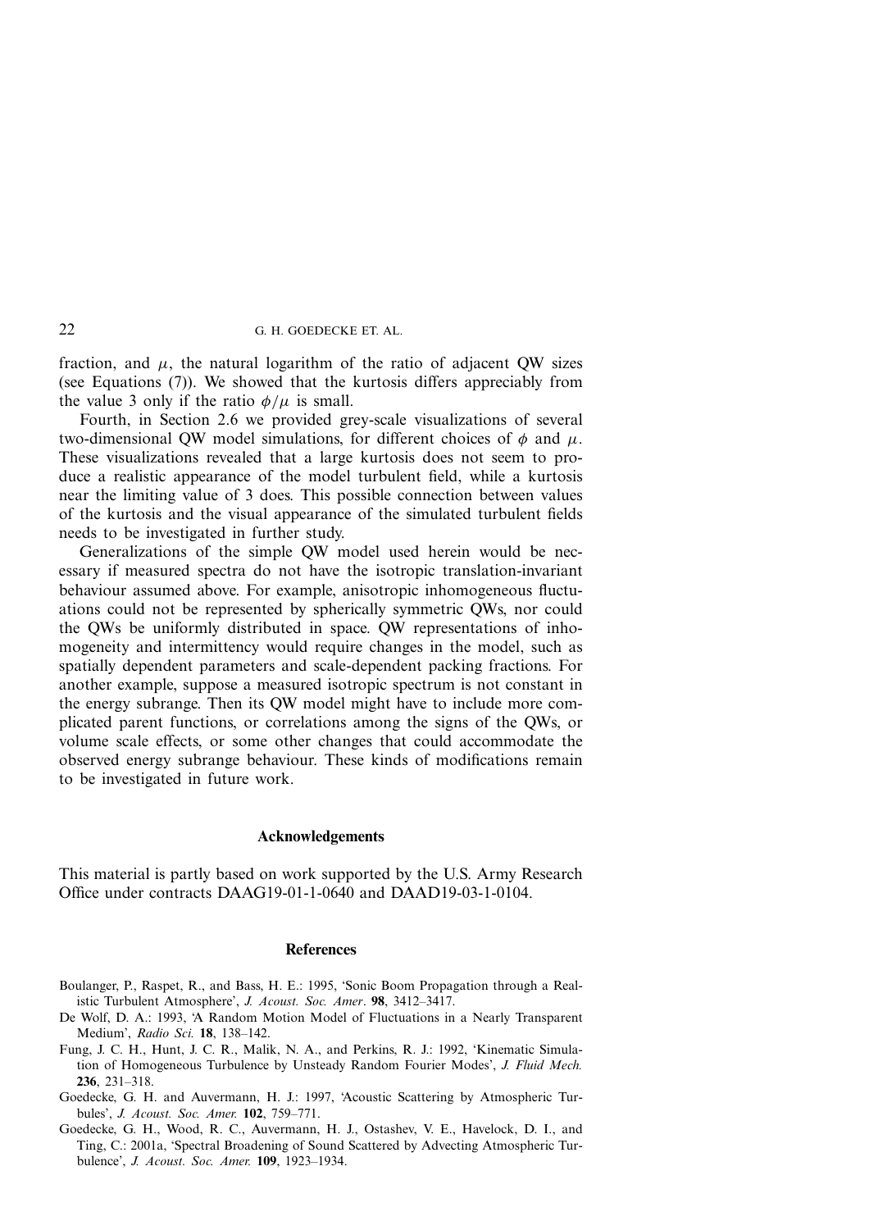fraction, and  $\mu$ , the natural logarithm of the ratio of adjacent QW sizes (see Equations (7)). We showed that the kurtosis differs appreciably from the value 3 only if the ratio  $\phi/\mu$  is small.

Fourth, in Section 2.6 we provided grey-scale visualizations of several two-dimensional QW model simulations, for different choices of  $\phi$  and  $\mu$ . These visualizations revealed that a large kurtosis does not seem to produce a realistic appearance of the model turbulent field, while a kurtosis near the limiting value of 3 does. This possible connection between values of the kurtosis and the visual appearance of the simulated turbulent fields needs to be investigated in further study.

Generalizations of the simple QW model used herein would be necessary if measured spectra do not have the isotropic translation-invariant behaviour assumed above. For example, anisotropic inhomogeneous fluctuations could not be represented by spherically symmetric QWs, nor could the QWs be uniformly distributed in space. QW representations of inhomogeneity and intermittency would require changes in the model, such as spatially dependent parameters and scale-dependent packing fractions. For another example, suppose a measured isotropic spectrum is not constant in the energy subrange. Then its QW model might have to include more complicated parent functions, or correlations among the signs of the QWs, or volume scale effects, or some other changes that could accommodate the observed energy subrange behaviour. These kinds of modifications remain to be investigated in future work.

### **Acknowledgements**

This material is partly based on work supported by the U.S. Army Research Office under contracts DAAG19-01-1-0640 and DAAD19-03-1-0104.

#### **References**

- Boulanger, P., Raspet, R., and Bass, H. E.: 1995, 'Sonic Boom Propagation through a Realistic Turbulent Atmosphere', *J. Acoust. Soc. Amer*. **98**, 3412–3417.
- De Wolf, D. A.: 1993, 'A Random Motion Model of Fluctuations in a Nearly Transparent Medium', *Radio Sci.* **18**, 138–142.
- Fung, J. C. H., Hunt, J. C. R., Malik, N. A., and Perkins, R. J.: 1992, 'Kinematic Simulation of Homogeneous Turbulence by Unsteady Random Fourier Modes', *J. Fluid Mech.* **236**, 231–318.
- Goedecke, G. H. and Auvermann, H. J.: 1997, 'Acoustic Scattering by Atmospheric Turbules', *J. Acoust. Soc. Amer.* **102**, 759–771.
- Goedecke, G. H., Wood, R. C., Auvermann, H. J., Ostashev, V. E., Havelock, D. I., and Ting, C.: 2001a, 'Spectral Broadening of Sound Scattered by Advecting Atmospheric Turbulence', *J. Acoust. Soc. Amer.* **109**, 1923–1934.